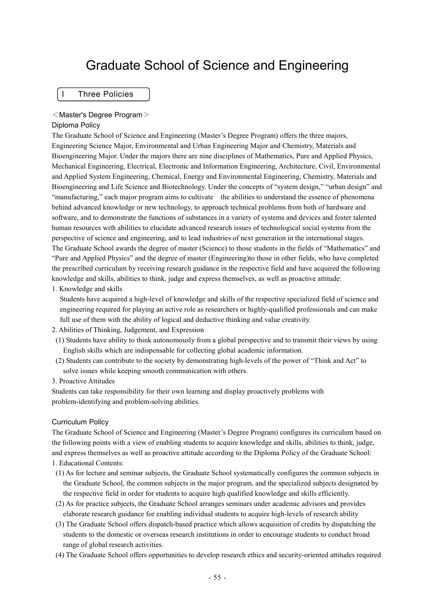# Graduate School of Science and Engineering

I Three Policies

#### <Master's Degree Program>

#### Diploma Policy

The Graduate School of Science and Engineering (Master's Degree Program) offers the three majors, Engineering Science Major, Environmental and Urban Engineering Major and Chemistry, Materials and Bioengineering Major. Under the majors there are nine disciplines of Mathematics, Pure and Applied Physics, Mechanical Engineering, Electrical, Electronic and Information Engineering, Architecture, Civil, Environmental and Applied System Engineering, Chemical, Energy and Environmental Engineering, Chemistry, Materials and Bioengineering and Life Science and Biotechnology. Under the concepts of "system design," "urban design" and "manufacturing," each major program aims to cultivate the abilities to understand the essence of phenomena behind advanced knowledge or new technology, to approach technical problems from both of hardware and software, and to demonstrate the functions of substances in a variety of systems and devices and foster talented human resources with abilities to elucidate advanced research issues of technological social systems from the perspective of science and engineering, and to lead industries of next generation in the international stages. The Graduate School awards the degree of master (Science) to those students in the fields of "Mathematics" and "Pure and Applied Physics" and the degree of master (Engineering)to those in other fields, who have completed the prescribed curriculum by receiving research guidance in the respective field and have acquired the following knowledge and skills, abilities to think, judge and express themselves, as well as proactive attitude:

1. Knowledge and skills

Students have acquired a high-level of knowledge and skills of the respective specialized field of science and engineering required for playing an active role as researchers or highly-qualified professionals and can make full use of them with the ability of logical and deductive thinking and value creativity.

- 2. Abilities of Thinking, Judgement, and Expression
- (1) Students have ability to think autonomously from a global perspective and to transmit their views by using English skills which are indispensable for collecting global academic information.
- (2) Students can contribute to the society by demonstrating high-levels of the power of "Think and Act" to solve issues while keeping smooth communication with others.
- 3. Proactive Attitudes

Students can take responsibility for their own learning and display proactively problems with problem-identifying and problem-solving abilities.

#### Curriculum Policy

The Graduate School of Science and Engineering (Master's Degree Program) configures its curriculum based on the following points with a view of enabling students to acquire knowledge and skills, abilities to think, judge, and express themselves as well as proactive attitude according to the Diploma Policy of the Graduate School: 1. Educational Contents:

- (1) As for lecture and seminar subjects, the Graduate School systematically configures the common subjects in the Graduate School, the common subjects in the major program, and the specialized subjects designated by the respective field in order for students to acquire high qualified knowledge and skills efficiently.
- (2) As for practice subjects, the Graduate School arranges seminars under academic advisors and provides elaborate research guidance for enabling individual students to acquire high-levels of research ability
- (3) The Graduate School offers dispatch-based practice which allows acquisition of credits by dispatching the students to the domestic or overseas research institutions in order to encourage students to conduct broad range of global research activities.
- (4) The Graduate School offers opportunities to develop research ethics and security-oriented attitudes required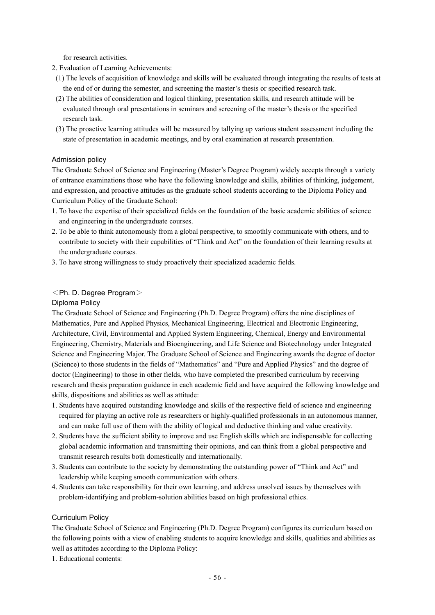for research activities.

- 2. Evaluation of Learning Achievements:
- (1) The levels of acquisition of knowledge and skills will be evaluated through integrating the results of tests at the end of or during the semester, and screening the master's thesis or specified research task.
- (2) The abilities of consideration and logical thinking, presentation skills, and research attitude will be evaluated through oral presentations in seminars and screening of the master's thesis or the specified research task.
- (3) The proactive learning attitudes will be measured by tallying up various student assessment including the state of presentation in academic meetings, and by oral examination at research presentation.

#### Admission policy

The Graduate School of Science and Engineering (Master's Degree Program) widely accepts through a variety of entrance examinations those who have the following knowledge and skills, abilities of thinking, judgement, and expression, and proactive attitudes as the graduate school students according to the Diploma Policy and Curriculum Policy of the Graduate School:

- 1. To have the expertise of their specialized fields on the foundation of the basic academic abilities of science and engineering in the undergraduate courses.
- 2. To be able to think autonomously from a global perspective, to smoothly communicate with others, and to contribute to society with their capabilities of "Think and Act" on the foundation of their learning results at the undergraduate courses.
- 3. To have strong willingness to study proactively their specialized academic fields.

#### $\leq$ Ph. D. Degree Program $>$

#### Diploma Policy

The Graduate School of Science and Engineering (Ph.D. Degree Program) offers the nine disciplines of Mathematics, Pure and Applied Physics, Mechanical Engineering, Electrical and Electronic Engineering, Architecture, Civil, Environmental and Applied System Engineering, Chemical, Energy and Environmental Engineering, Chemistry, Materials and Bioengineering, and Life Science and Biotechnology under Integrated Science and Engineering Major. The Graduate School of Science and Engineering awards the degree of doctor (Science) to those students in the fields of "Mathematics" and "Pure and Applied Physics" and the degree of doctor (Engineering) to those in other fields, who have completed the prescribed curriculum by receiving research and thesis preparation guidance in each academic field and have acquired the following knowledge and skills, dispositions and abilities as well as attitude:

- 1. Students have acquired outstanding knowledge and skills of the respective field of science and engineering required for playing an active role as researchers or highly-qualified professionals in an autonomous manner, and can make full use of them with the ability of logical and deductive thinking and value creativity.
- 2. Students have the sufficient ability to improve and use English skills which are indispensable for collecting global academic information and transmitting their opinions, and can think from a global perspective and transmit research results both domestically and internationally.
- 3. Students can contribute to the society by demonstrating the outstanding power of "Think and Act" and leadership while keeping smooth communication with others.
- 4. Students can take responsibility for their own learning, and address unsolved issues by themselves with problem-identifying and problem-solution abilities based on high professional ethics.

#### Curriculum Policy

The Graduate School of Science and Engineering (Ph.D. Degree Program) configures its curriculum based on the following points with a view of enabling students to acquire knowledge and skills, qualities and abilities as well as attitudes according to the Diploma Policy:

1. Educational contents: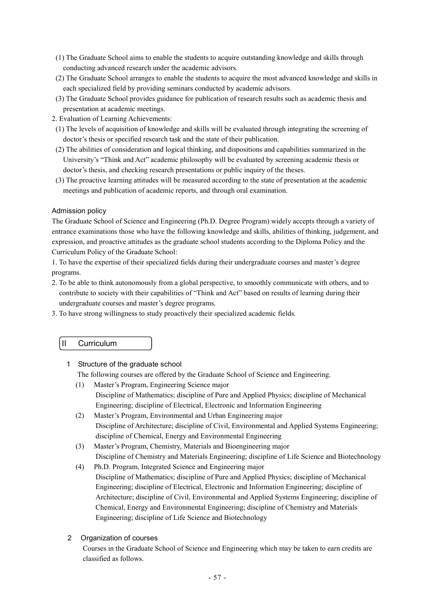- (1) The Graduate School aims to enable the students to acquire outstanding knowledge and skills through conducting advanced research under the academic advisors.
- (2) The Graduate School arranges to enable the students to acquire the most advanced knowledge and skills in each specialized field by providing seminars conducted by academic advisors.
- (3) The Graduate School provides guidance for publication of research results such as academic thesis and presentation at academic meetings.
- 2. Evaluation of Learning Achievements:
- (1) The levels of acquisition of knowledge and skills will be evaluated through integrating the screening of doctor's thesis or specified research task and the state of their publication.
- (2) The abilities of consideration and logical thinking, and dispositions and capabilities summarized in the University's "Think and Act" academic philosophy will be evaluated by screening academic thesis or doctor's thesis, and checking research presentations or public inquiry of the theses.
- (3) The proactive learning attitudes will be measured according to the state of presentation at the academic meetings and publication of academic reports, and through oral examination.

#### Admission policy

The Graduate School of Science and Engineering (Ph.D. Degree Program) widely accepts through a variety of entrance examinations those who have the following knowledge and skills, abilities of thinking, judgement, and expression, and proactive attitudes as the graduate school students according to the Diploma Policy and the Curriculum Policy of the Graduate School:

1. To have the expertise of their specialized fields during their undergraduate courses and master's degree programs.

- 2. To be able to think autonomously from a global perspective, to smoothly communicate with others, and to contribute to society with their capabilities of "Think and Act" based on results of learning during their undergraduate courses and master's degree programs.
- 3. To have strong willingness to study proactively their specialized academic fields.
	- II Curriculum

#### 1 Structure of the graduate school

The following courses are offered by the Graduate School of Science and Engineering.

- (1) Master's Program, Engineering Science major Discipline of Mathematics; discipline of Pure and Applied Physics; discipline of Mechanical Engineering; discipline of Electrical, Electronic and Information Engineering
- (2) Master's Program, Environmental and Urban Engineering major Discipline of Architecture; discipline of Civil, Environmental and Applied Systems Engineering; discipline of Chemical, Energy and Environmental Engineering
- (3) Master's Program, Chemistry, Materials and Bioengineering major Discipline of Chemistry and Materials Engineering; discipline of Life Science and Biotechnology
- (4) Ph.D. Program, Integrated Science and Engineering major Discipline of Mathematics; discipline of Pure and Applied Physics; discipline of Mechanical Engineering; discipline of Electrical, Electronic and Information Engineering; discipline of Architecture; discipline of Civil, Environmental and Applied Systems Engineering; discipline of Chemical, Energy and Environmental Engineering; discipline of Chemistry and Materials Engineering; discipline of Life Science and Biotechnology

## 2 Organization of courses

Courses in the Graduate School of Science and Engineering which may be taken to earn credits are classified as follows.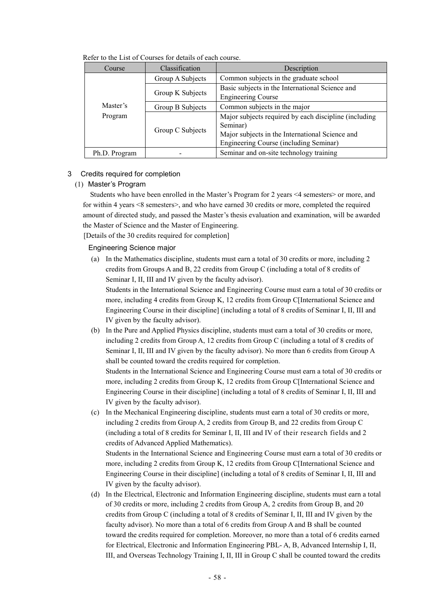| Course        | Classification   | Description                                                                                                                                                    |
|---------------|------------------|----------------------------------------------------------------------------------------------------------------------------------------------------------------|
|               | Group A Subjects | Common subjects in the graduate school                                                                                                                         |
|               | Group K Subjects | Basic subjects in the International Science and<br><b>Engineering Course</b>                                                                                   |
| Master's      | Group B Subjects | Common subjects in the major                                                                                                                                   |
| Program       | Group C Subjects | Major subjects required by each discipline (including<br>Seminar)<br>Major subjects in the International Science and<br>Engineering Course (including Seminar) |
| Ph.D. Program |                  | Seminar and on-site technology training                                                                                                                        |

Refer to the List of Courses for details of each course.

#### 3 Credits required for completion

#### (1) Master's Program

Students who have been enrolled in the Master's Program for 2 years <4 semesters> or more, and for within 4 years <8 semesters>, and who have earned 30 credits or more, completed the required amount of directed study, and passed the Master's thesis evaluation and examination, will be awarded the Master of Science and the Master of Engineering.

[Details of the 30 credits required for completion]

Engineering Science major

(a) In the Mathematics discipline, students must earn a total of 30 credits or more, including 2 credits from Groups A and B, 22 credits from Group C (including a total of 8 credits of Seminar I, II, III and IV given by the faculty advisor).

Students in the International Science and Engineering Course must earn a total of 30 credits or more, including 4 credits from Group K, 12 credits from Group C[International Science and Engineering Course in their discipline] (including a total of 8 credits of Seminar I, II, III and IV given by the faculty advisor).

(b) In the Pure and Applied Physics discipline, students must earn a total of 30 credits or more, including 2 credits from Group A, 12 credits from Group C (including a total of 8 credits of Seminar I, II, III and IV given by the faculty advisor). No more than 6 credits from Group A shall be counted toward the credits required for completion.

Students in the International Science and Engineering Course must earn a total of 30 credits or more, including 2 credits from Group K, 12 credits from Group C[International Science and Engineering Course in their discipline] (including a total of 8 credits of Seminar I, II, III and IV given by the faculty advisor).

(c) In the Mechanical Engineering discipline, students must earn a total of 30 credits or more, including 2 credits from Group A, 2 credits from Group B, and 22 credits from Group C (including a total of 8 credits for Seminar I, II, III and IV of their research fields and 2 credits of Advanced Applied Mathematics).

Students in the International Science and Engineering Course must earn a total of 30 credits or more, including 2 credits from Group K, 12 credits from Group C[International Science and Engineering Course in their discipline] (including a total of 8 credits of Seminar I, II, III and IV given by the faculty advisor).

(d) In the Electrical, Electronic and Information Engineering discipline, students must earn a total of 30 credits or more, including 2 credits from Group A, 2 credits from Group B, and 20 credits from Group C (including a total of 8 credits of Seminar I, II, III and IV given by the faculty advisor). No more than a total of 6 credits from Group A and B shall be counted toward the credits required for completion. Moreover, no more than a total of 6 credits earned for Electrical, Electronic and Information Engineering PBL- A, B, Advanced Internship I, II, III, and Overseas Technology Training I, II, III in Group C shall be counted toward the credits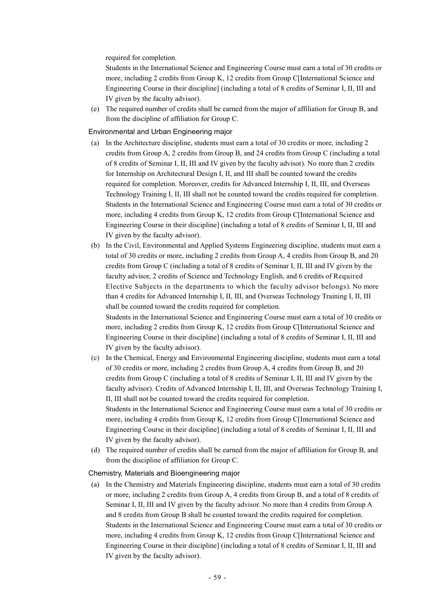required for completion.

Students in the International Science and Engineering Course must earn a total of 30 credits or more, including 2 credits from Group K, 12 credits from Group C[International Science and Engineering Course in their discipline] (including a total of 8 credits of Seminar I, II, III and IV given by the faculty advisor).

(e) The required number of credits shall be earned from the major of affiliation for Group B, and from the discipline of affiliation for Group C.

Environmental and Urban Engineering major

- (a) In the Architecture discipline, students must earn a total of 30 credits or more, including 2 credits from Group A, 2 credits from Group B, and 24 credits from Group C (including a total of 8 credits of Seminar I, II, III and IV given by the faculty advisor). No more than 2 credits for Internship on Architectural Design I, II, and III shall be counted toward the credits required for completion. Moreover, credits for Advanced Internship I, II, III, and Overseas Technology Training I, II, III shall not be counted toward the credits required for completion. Students in the International Science and Engineering Course must earn a total of 30 credits or more, including 4 credits from Group K, 12 credits from Group C[International Science and Engineering Course in their discipline] (including a total of 8 credits of Seminar I, II, III and IV given by the faculty advisor).
- (b) In the Civil, Environmental and Applied Systems Engineering discipline, students must earn a total of 30 credits or more, including 2 credits from Group A, 4 credits from Group B, and 20 credits from Group C (including a total of 8 credits of Seminar I, II, III and IV given by the faculty advisor, 2 credits of Science and Technology English, and 6 credits of Required Elective Subjects in the departments to which the faculty advisor belongs). No more than 4 credits for Advanced Internship I, II, III, and Overseas Technology Training I, II, III shall be counted toward the credits required for completion. Students in the International Science and Engineering Course must earn a total of 30 credits or more, including 2 credits from Group K, 12 credits from Group C[International Science and Engineering Course in their discipline] (including a total of 8 credits of Seminar I, II, III and

IV given by the faculty advisor).

- (c) In the Chemical, Energy and Environmental Engineering discipline, students must earn a total of 30 credits or more, including 2 credits from Group A, 4 credits from Group B, and 20 credits from Group C (including a total of 8 credits of Seminar I, II, III and IV given by the faculty advisor). Credits of Advanced Internship I, II, III, and Overseas Technology Training I, II, III shall not be counted toward the credits required for completion. Students in the International Science and Engineering Course must earn a total of 30 credits or more, including 4 credits from Group K, 12 credits from Group C[International Science and Engineering Course in their discipline] (including a total of 8 credits of Seminar I, II, III and IV given by the faculty advisor).
- (d) The required number of credits shall be earned from the major of affiliation for Group B, and from the discipline of affiliation for Group C.

Chemistry, Materials and Bioengineering major

(a) In the Chemistry and Materials Engineering discipline, students must earn a total of 30 credits or more, including 2 credits from Group A, 4 credits from Group B, and a total of 8 credits of Seminar I, II, III and IV given by the faculty advisor. No more than 4 credits from Group A and 8 credits from Group B shall be counted toward the credits required for completion. Students in the International Science and Engineering Course must earn a total of 30 credits or more, including 4 credits from Group K, 12 credits from Group C[International Science and Engineering Course in their discipline] (including a total of 8 credits of Seminar I, II, III and IV given by the faculty advisor).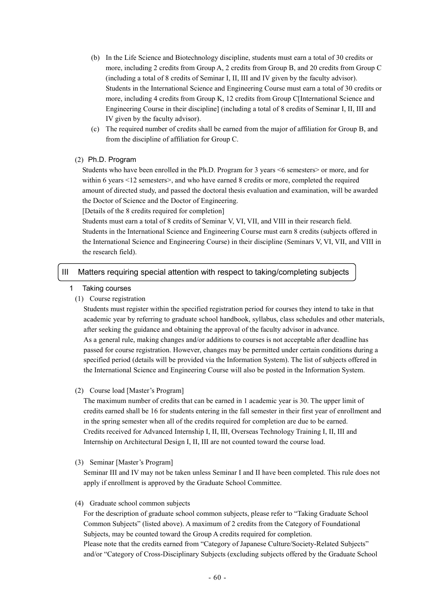- (b) In the Life Science and Biotechnology discipline, students must earn a total of 30 credits or more, including 2 credits from Group A, 2 credits from Group B, and 20 credits from Group C (including a total of 8 credits of Seminar I, II, III and IV given by the faculty advisor). Students in the International Science and Engineering Course must earn a total of 30 credits or more, including 4 credits from Group K, 12 credits from Group C[International Science and Engineering Course in their discipline] (including a total of 8 credits of Seminar I, II, III and IV given by the faculty advisor).
- (c) The required number of credits shall be earned from the major of affiliation for Group B, and from the discipline of affiliation for Group C.

#### (2) Ph.D. Program

Students who have been enrolled in the Ph.D. Program for 3 years <6 semesters> or more, and for within 6 years <12 semesters>, and who have earned 8 credits or more, completed the required amount of directed study, and passed the doctoral thesis evaluation and examination, will be awarded the Doctor of Science and the Doctor of Engineering.

[Details of the 8 credits required for completion]

Students must earn a total of 8 credits of Seminar V, VI, VII, and VIII in their research field. Students in the International Science and Engineering Course must earn 8 credits (subjects offered in the International Science and Engineering Course) in their discipline (Seminars V, VI, VII, and VIII in the research field).

#### III Matters requiring special attention with respect to taking/completing subjects

- 1 Taking courses
	- (1) Course registration

Students must register within the specified registration period for courses they intend to take in that academic year by referring to graduate school handbook, syllabus, class schedules and other materials, after seeking the guidance and obtaining the approval of the faculty advisor in advance. As a general rule, making changes and/or additions to courses is not acceptable after deadline has passed for course registration. However, changes may be permitted under certain conditions during a specified period (details will be provided via the Information System). The list of subjects offered in the International Science and Engineering Course will also be posted in the Information System.

#### (2) Course load [Master's Program]

The maximum number of credits that can be earned in 1 academic year is 30. The upper limit of credits earned shall be 16 for students entering in the fall semester in their first year of enrollment and in the spring semester when all of the credits required for completion are due to be earned. Credits received for Advanced Internship I, II, III, Overseas Technology Training I, II, III and Internship on Architectural Design I, II, III are not counted toward the course load.

(3) Seminar [Master's Program]

Seminar III and IV may not be taken unless Seminar I and II have been completed. This rule does not apply if enrollment is approved by the Graduate School Committee.

#### (4) Graduate school common subjects

For the description of graduate school common subjects, please refer to "Taking Graduate School Common Subjects" (listed above). A maximum of 2 credits from the Category of Foundational Subjects, may be counted toward the Group A credits required for completion. Please note that the credits earned from "Category of Japanese Culture/Society-Related Subjects" and/or "Category of Cross-Disciplinary Subjects (excluding subjects offered by the Graduate School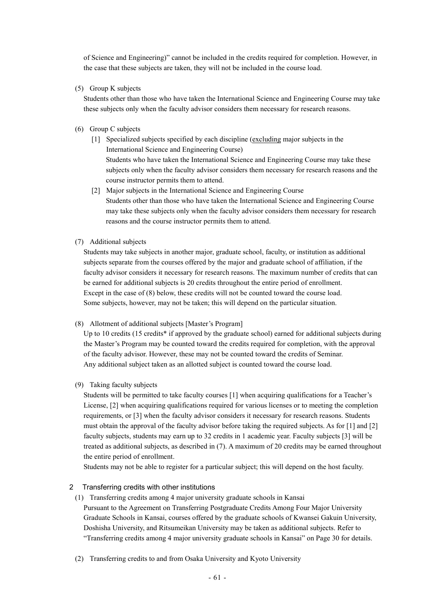of Science and Engineering)" cannot be included in the credits required for completion. However, in the case that these subjects are taken, they will not be included in the course load.

(5) Group K subjects

Students other than those who have taken the International Science and Engineering Course may take these subjects only when the faculty advisor considers them necessary for research reasons.

- (6) Group C subjects
	- [1] Specialized subjects specified by each discipline (excluding major subjects in the International Science and Engineering Course) Students who have taken the International Science and Engineering Course may take these subjects only when the faculty advisor considers them necessary for research reasons and the course instructor permits them to attend.
	- [2] Major subjects in the International Science and Engineering Course Students other than those who have taken the International Science and Engineering Course may take these subjects only when the faculty advisor considers them necessary for research reasons and the course instructor permits them to attend.
- (7) Additional subjects

Students may take subjects in another major, graduate school, faculty, or institution as additional subjects separate from the courses offered by the major and graduate school of affiliation, if the faculty advisor considers it necessary for research reasons. The maximum number of credits that can be earned for additional subjects is 20 credits throughout the entire period of enrollment. Except in the case of (8) below, these credits will not be counted toward the course load. Some subjects, however, may not be taken; this will depend on the particular situation.

(8) Allotment of additional subjects [Master's Program]

Up to 10 credits (15 credits<sup>\*</sup> if approved by the graduate school) earned for additional subjects during the Master's Program may be counted toward the credits required for completion, with the approval of the faculty advisor. However, these may not be counted toward the credits of Seminar. Any additional subject taken as an allotted subject is counted toward the course load.

(9) Taking faculty subjects

Students will be permitted to take faculty courses [1] when acquiring qualifications for a Teacher's License, [2] when acquiring qualifications required for various licenses or to meeting the completion requirements, or [3] when the faculty advisor considers it necessary for research reasons. Students must obtain the approval of the faculty advisor before taking the required subjects. As for [1] and [2] faculty subjects, students may earn up to 32 credits in 1 academic year. Faculty subjects [3] will be treated as additional subjects, as described in (7). A maximum of 20 credits may be earned throughout the entire period of enrollment.

Students may not be able to register for a particular subject; this will depend on the host faculty.

2 Transferring credits with other institutions

- (1) Transferring credits among 4 major university graduate schools in Kansai Pursuant to the Agreement on Transferring Postgraduate Credits Among Four Major University Graduate Schools in Kansai, courses offered by the graduate schools of Kwansei Gakuin University, Doshisha University, and Ritsumeikan University may be taken as additional subjects. Refer to "Transferring credits among 4 major university graduate schools in Kansai" on Page 30 for details.
- (2) Transferring credits to and from Osaka University and Kyoto University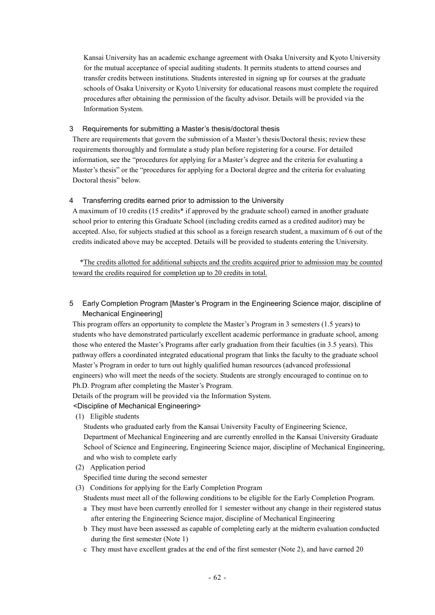Kansai University has an academic exchange agreement with Osaka University and Kyoto University for the mutual acceptance of special auditing students. It permits students to attend courses and transfer credits between institutions. Students interested in signing up for courses at the graduate schools of Osaka University or Kyoto University for educational reasons must complete the required procedures after obtaining the permission of the faculty advisor. Details will be provided via the Information System.

#### 3 Requirements for submitting a Master's thesis/doctoral thesis

There are requirements that govern the submission of a Master's thesis/Doctoral thesis; review these requirements thoroughly and formulate a study plan before registering for a course. For detailed information, see the "procedures for applying for a Master's degree and the criteria for evaluating a Master's thesis" or the "procedures for applying for a Doctoral degree and the criteria for evaluating Doctoral thesis" below.

#### 4 Transferring credits earned prior to admission to the University

A maximum of 10 credits (15 credits\* if approved by the graduate school) earned in another graduate school prior to entering this Graduate School (including credits earned as a credited auditor) may be accepted. Also, for subjects studied at this school as a foreign research student, a maximum of 6 out of the credits indicated above may be accepted. Details will be provided to students entering the University.

\*The credits allotted for additional subjects and the credits acquired prior to admission may be counted toward the credits required for completion up to 20 credits in total.

5 Early Completion Program [Master's Program in the Engineering Science major, discipline of Mechanical Engineering]

This program offers an opportunity to complete the Master's Program in 3 semesters (1.5 years) to students who have demonstrated particularly excellent academic performance in graduate school, among those who entered the Master's Programs after early graduation from their faculties (in 3.5 years). This pathway offers a coordinated integrated educational program that links the faculty to the graduate school Master's Program in order to turn out highly qualified human resources (advanced professional engineers) who will meet the needs of the society. Students are strongly encouraged to continue on to Ph.D. Program after completing the Master's Program.

Details of the program will be provided via the Information System.

#### <Discipline of Mechanical Engineering>

(1) Eligible students

Students who graduated early from the Kansai University Faculty of Engineering Science, Department of Mechanical Engineering and are currently enrolled in the Kansai University Graduate School of Science and Engineering, Engineering Science major, discipline of Mechanical Engineering, and who wish to complete early

(2) Application period

Specified time during the second semester

(3) Conditions for applying for the Early Completion Program

Students must meet all of the following conditions to be eligible for the Early Completion Program.

- a They must have been currently enrolled for 1 semester without any change in their registered status after entering the Engineering Science major, discipline of Mechanical Engineering
- b They must have been assessed as capable of completing early at the midterm evaluation conducted during the first semester (Note 1)
- c They must have excellent grades at the end of the first semester (Note 2), and have earned 20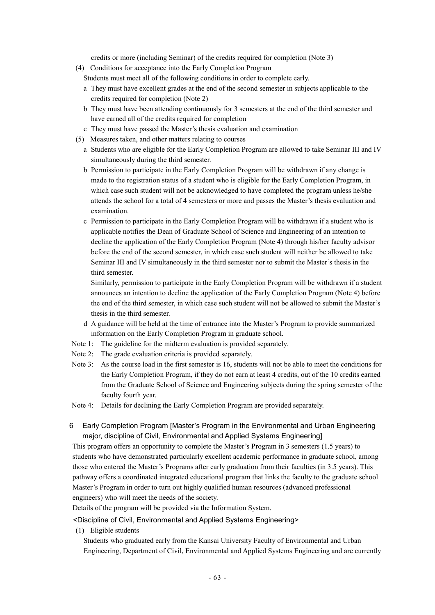credits or more (including Seminar) of the credits required for completion (Note 3)

- (4) Conditions for acceptance into the Early Completion Program
	- Students must meet all of the following conditions in order to complete early.
	- a They must have excellent grades at the end of the second semester in subjects applicable to the credits required for completion (Note 2)
	- b They must have been attending continuously for 3 semesters at the end of the third semester and have earned all of the credits required for completion
	- c They must have passed the Master's thesis evaluation and examination
- (5) Measures taken, and other matters relating to courses
	- a Students who are eligible for the Early Completion Program are allowed to take Seminar III and IV simultaneously during the third semester.
	- b Permission to participate in the Early Completion Program will be withdrawn if any change is made to the registration status of a student who is eligible for the Early Completion Program, in which case such student will not be acknowledged to have completed the program unless he/she attends the school for a total of 4 semesters or more and passes the Master's thesis evaluation and examination.
	- c Permission to participate in the Early Completion Program will be withdrawn if a student who is applicable notifies the Dean of Graduate School of Science and Engineering of an intention to decline the application of the Early Completion Program (Note 4) through his/her faculty advisor before the end of the second semester, in which case such student will neither be allowed to take Seminar III and IV simultaneously in the third semester nor to submit the Master's thesis in the third semester.

Similarly, permission to participate in the Early Completion Program will be withdrawn if a student announces an intention to decline the application of the Early Completion Program (Note 4) before the end of the third semester, in which case such student will not be allowed to submit the Master's thesis in the third semester.

- d A guidance will be held at the time of entrance into the Master's Program to provide summarized information on the Early Completion Program in graduate school.
- Note 1: The guideline for the midterm evaluation is provided separately.
- Note 2: The grade evaluation criteria is provided separately.
- Note 3: As the course load in the first semester is 16, students will not be able to meet the conditions for the Early Completion Program, if they do not earn at least 4 credits, out of the 10 credits earned from the Graduate School of Science and Engineering subjects during the spring semester of the faculty fourth year.
- Note 4: Details for declining the Early Completion Program are provided separately.
- 6 Early Completion Program [Master's Program in the Environmental and Urban Engineering major, discipline of Civil, Environmental and Applied Systems Engineering]

This program offers an opportunity to complete the Master's Program in 3 semesters (1.5 years) to students who have demonstrated particularly excellent academic performance in graduate school, among those who entered the Master's Programs after early graduation from their faculties (in 3.5 years). This pathway offers a coordinated integrated educational program that links the faculty to the graduate school Master's Program in order to turn out highly qualified human resources (advanced professional engineers) who will meet the needs of the society.

Details of the program will be provided via the Information System.

#### <Discipline of Civil, Environmental and Applied Systems Engineering>

(1) Eligible students

Students who graduated early from the Kansai University Faculty of Environmental and Urban Engineering, Department of Civil, Environmental and Applied Systems Engineering and are currently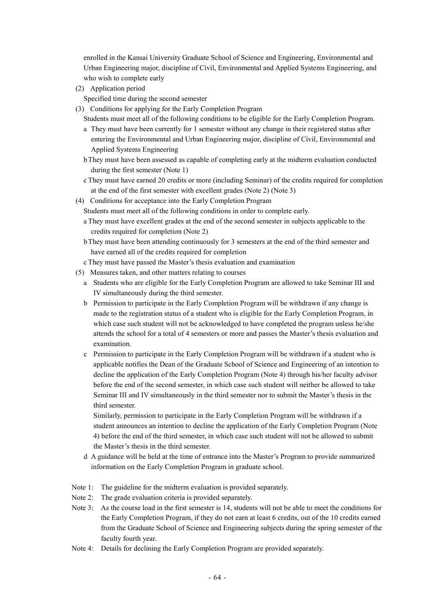enrolled in the Kansai University Graduate School of Science and Engineering, Environmental and Urban Engineering major, discipline of Civil, Environmental and Applied Systems Engineering, and who wish to complete early

- (2) Application period
	- Specified time during the second semester
- (3) Conditions for applying for the Early Completion Program
- Students must meet all of the following conditions to be eligible for the Early Completion Program.
- a They must have been currently for 1 semester without any change in their registered status after entering the Environmental and Urban Engineering major, discipline of Civil, Environmental and Applied Systems Engineering
- bThey must have been assessed as capable of completing early at the midterm evaluation conducted during the first semester (Note 1)
- c They must have earned 20 credits or more (including Seminar) of the credits required for completion at the end of the first semester with excellent grades (Note 2) (Note 3)
- (4) Conditions for acceptance into the Early Completion Program
	- Students must meet all of the following conditions in order to complete early.
	- a They must have excellent grades at the end of the second semester in subjects applicable to the credits required for completion (Note 2)
	- bThey must have been attending continuously for 3 semesters at the end of the third semester and have earned all of the credits required for completion
	- c They must have passed the Master's thesis evaluation and examination
- (5) Measures taken, and other matters relating to courses
	- a Students who are eligible for the Early Completion Program are allowed to take Seminar III and IV simultaneously during the third semester.
	- b Permission to participate in the Early Completion Program will be withdrawn if any change is made to the registration status of a student who is eligible for the Early Completion Program, in which case such student will not be acknowledged to have completed the program unless he/she attends the school for a total of 4 semesters or more and passes the Master's thesis evaluation and examination.
	- c Permission to participate in the Early Completion Program will be withdrawn if a student who is applicable notifies the Dean of the Graduate School of Science and Engineering of an intention to decline the application of the Early Completion Program (Note 4) through his/her faculty advisor before the end of the second semester, in which case such student will neither be allowed to take Seminar III and IV simultaneously in the third semester nor to submit the Master's thesis in the third semester.

Similarly, permission to participate in the Early Completion Program will be withdrawn if a student announces an intention to decline the application of the Early Completion Program (Note 4) before the end of the third semester, in which case such student will not be allowed to submit the Master's thesis in the third semester.

- d A guidance will be held at the time of entrance into the Master's Program to provide summarized information on the Early Completion Program in graduate school.
- Note 1: The guideline for the midterm evaluation is provided separately.
- Note 2: The grade evaluation criteria is provided separately.
- Note 3: As the course load in the first semester is 14, students will not be able to meet the conditions for the Early Completion Program, if they do not earn at least 6 credits, out of the 10 credits earned from the Graduate School of Science and Engineering subjects during the spring semester of the faculty fourth year.
- Note 4: Details for declining the Early Completion Program are provided separately.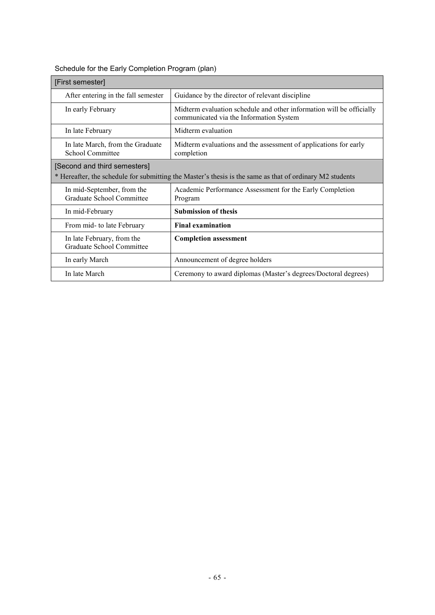| [First semester]                                        |                                                                                                                 |
|---------------------------------------------------------|-----------------------------------------------------------------------------------------------------------------|
| After entering in the fall semester                     | Guidance by the director of relevant discipline                                                                 |
| In early February                                       | Midterm evaluation schedule and other information will be officially<br>communicated via the Information System |
| In late February                                        | Midterm evaluation                                                                                              |
| In late March, from the Graduate<br>School Committee    | Midterm evaluations and the assessment of applications for early<br>completion                                  |
| [Second and third semesters]                            | * Hereafter, the schedule for submitting the Master's thesis is the same as that of ordinary M2 students        |
| In mid-September, from the<br>Graduate School Committee | Academic Performance Assessment for the Early Completion<br>Program                                             |
| In mid-February                                         | <b>Submission of thesis</b>                                                                                     |
| From mid- to late February                              | <b>Final examination</b>                                                                                        |
| In late February, from the<br>Graduate School Committee | <b>Completion assessment</b>                                                                                    |
| In early March                                          | Announcement of degree holders                                                                                  |
| In late March                                           | Ceremony to award diplomas (Master's degrees/Doctoral degrees)                                                  |

## Schedule for the Early Completion Program (plan)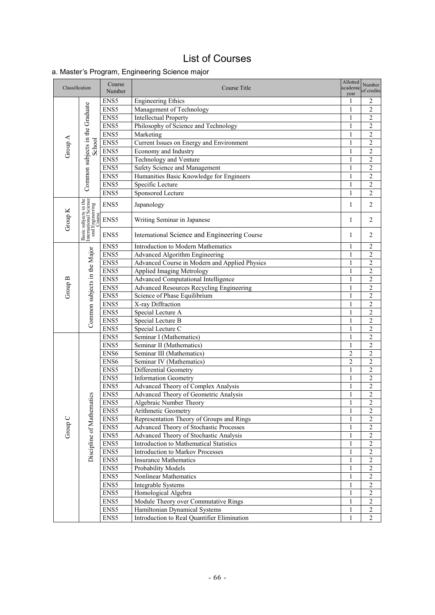## List of Course s

## a. Master's Program, Engineering Science major

| Classification |                                                                             | Course<br>Number | Course Title                                                                 | Allotted<br>academic<br>year | Number<br>of credits             |
|----------------|-----------------------------------------------------------------------------|------------------|------------------------------------------------------------------------------|------------------------------|----------------------------------|
|                |                                                                             | ENS5             | <b>Engineering Ethics</b>                                                    | 1                            | 2                                |
| Group A        |                                                                             | ENS5             | Management of Technology                                                     | 1                            | $\overline{c}$                   |
|                |                                                                             | ENS5             | <b>Intellectual Property</b>                                                 | 1                            | 2                                |
|                | Common subjects in the Graduate                                             | ENS5             | Philosophy of Science and Technology                                         | 1                            | $\sqrt{2}$                       |
|                |                                                                             | ENS5             | Marketing                                                                    | $\mathbf{1}$                 | $\overline{2}$                   |
|                | School                                                                      | ENS5             | Current Issues on Energy and Environment                                     | $\mathbf{1}$                 | $\overline{2}$                   |
|                |                                                                             | ENS5             | Economy and Industry                                                         | 1                            | $\overline{c}$                   |
|                |                                                                             | ENS5             | Technology and Venture                                                       | $\mathbf{1}$                 | $\overline{c}$                   |
|                |                                                                             | ENS5             | Safety Science and Management                                                | $\mathbf{1}$                 | $\overline{2}$                   |
|                |                                                                             | ENS5             | Humanities Basic Knowledge for Engineers                                     | 1                            | $\overline{c}$                   |
|                |                                                                             | ENS5             | Specific Lecture                                                             | $\mathbf{1}$                 | $\overline{c}$                   |
|                |                                                                             | ENS5             | Sponsored Lecture                                                            | 1                            | $\overline{2}$                   |
|                | Basic subjects in the<br>International Science<br>and Engineering<br>Course | ENS5             | Japanology                                                                   | $\mathbf{1}$                 | $\overline{2}$                   |
| Group K        |                                                                             | ENS5             | Writing Seminar in Japanese                                                  | $\mathbf{1}$                 | $\overline{2}$                   |
|                |                                                                             | ENS5             | International Science and Engineering Course                                 | $\mathbf{1}$                 | $\overline{2}$                   |
|                |                                                                             | ENS5             | Introduction to Modern Mathematics                                           | 1                            | $\sqrt{2}$                       |
|                |                                                                             | ENS5             | Advanced Algorithm Engineering                                               | $\mathbf{1}$                 | $\overline{c}$                   |
|                |                                                                             | ENS5             | Advanced Course in Modern and Applied Physics                                | $\mathbf{1}$                 | $\overline{2}$                   |
|                |                                                                             | ENS5             | Applied Imaging Metrology                                                    | 1                            | $\overline{c}$                   |
| Group B        |                                                                             | ENS5             | Advanced Computational Intelligence                                          | $\mathbf{1}$                 | $\overline{2}$                   |
|                | Common subjects in the Major                                                | ENS5             | Advanced Resources Recycling Engineering                                     | $\mathbf{1}$                 | $\overline{c}$                   |
|                |                                                                             | ENS5             | Science of Phase Equilibrium                                                 | $\mathbf{1}$                 | $\overline{2}$                   |
|                |                                                                             | ENS5             | X-ray Diffraction                                                            | $\mathbf{1}$                 | $\overline{c}$                   |
|                |                                                                             | ENS5             | Special Lecture A                                                            | $\mathbf{1}$                 | $\overline{2}$                   |
|                |                                                                             | ENS5             | Special Lecture B                                                            | $\mathbf{1}$                 | $\overline{2}$                   |
|                |                                                                             | ENS5             | Special Lecture C                                                            | $\mathbf{1}$                 | $\overline{2}$                   |
|                |                                                                             | ENS5             | Seminar I (Mathematics)                                                      | 1                            | $\overline{c}$                   |
|                |                                                                             | ENS5             | Seminar II (Mathematics)                                                     | 1                            | $\overline{2}$                   |
|                |                                                                             | ENS6             | Seminar III (Mathematics)                                                    | $\overline{c}$               | $\overline{2}$                   |
|                |                                                                             | ENS6             | Seminar IV (Mathematics)                                                     | $\overline{c}$               | $\overline{2}$                   |
|                |                                                                             | ENS5             | Differential Geometry                                                        | $\mathbf{1}$                 | $\overline{c}$                   |
|                |                                                                             | ENS5             | Information Geometry                                                         | $\mathbf{1}$                 | $\overline{2}$                   |
|                |                                                                             | ENS5             | Advanced Theory of Complex Analysis                                          | $\mathbf{1}$                 | $\overline{2}$                   |
|                | atics                                                                       | ENS5             | Advanced Theory of Geometric Analysis                                        | $\mathbf{1}$                 | $\overline{c}$                   |
|                |                                                                             | ENS5             | Algebraic Number Theory                                                      | 1                            | $\overline{c}$                   |
|                |                                                                             | ENS5             | Arithmetic Geometry                                                          | $\mathbf{1}$                 | $\boldsymbol{2}$                 |
|                |                                                                             | ENS5             | Representation Theory of Groups and Rings                                    | 1                            | $\overline{\mathbf{c}}$          |
| Group C        |                                                                             | ENS5             | Advanced Theory of Stochastic Processes                                      | $\mathbf{1}$                 | $\overline{2}$                   |
|                |                                                                             | ENS5             | Advanced Theory of Stochastic Analysis                                       | $\mathbf{1}$                 | $\overline{c}$                   |
|                | Discipline of Mathem                                                        | ENS5             | Introduction to Mathematical Statistics                                      | $\mathbf{1}$                 | $\overline{2}$                   |
|                |                                                                             | ENS5             | Introduction to Markov Processes                                             | $\mathbf{1}$                 | $\overline{2}$                   |
|                |                                                                             | ENS5             | <b>Insurance Mathematics</b>                                                 | $\mathbf{1}$                 | $\overline{2}$                   |
|                |                                                                             | ENS5             | Probability Models                                                           | $\mathbf{1}$                 | $\overline{\mathbf{c}}$          |
|                |                                                                             | ENS5             | Nonlinear Mathematics                                                        | 1                            | $\overline{2}$                   |
|                |                                                                             | ENS5             | Integrable Systems                                                           | 1                            | $\overline{c}$                   |
|                |                                                                             | ENS5             | Homological Algebra                                                          | 1                            | $\overline{2}$                   |
|                |                                                                             | ENS5             | Module Theory over Commutative Rings                                         | 1<br>$\mathbf{1}$            | $\overline{2}$<br>$\overline{2}$ |
|                |                                                                             | ENS5<br>ENS5     | Hamiltonian Dynamical Systems<br>Introduction to Real Quantifier Elimination | $\mathbf{1}$                 | $\overline{2}$                   |
|                |                                                                             |                  |                                                                              |                              |                                  |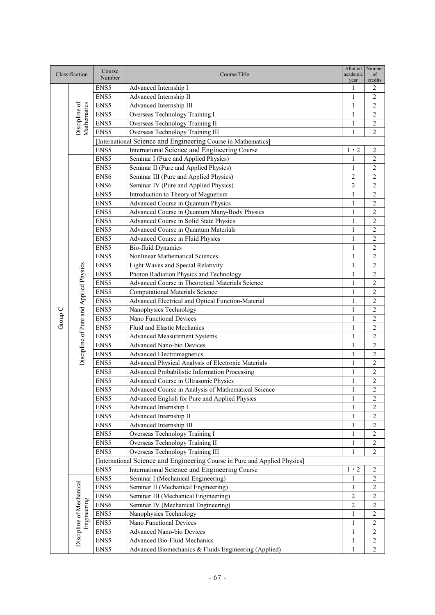|         | Classification                          | Course<br>Number | Course Title                                                               | Allotted<br>academic<br>year | Number<br>of<br>credits |
|---------|-----------------------------------------|------------------|----------------------------------------------------------------------------|------------------------------|-------------------------|
|         |                                         | ENS5             | Advanced Internship I                                                      | 1                            | 2                       |
|         |                                         | ENS5             | Advanced Internship II                                                     | 1                            | $\overline{c}$          |
|         |                                         | ENS5             | Advanced Internship III                                                    | 1                            | $\overline{c}$          |
|         | Discipline of<br>Mathematics            | ENS5             | Overseas Technology Training I                                             | 1                            | 2                       |
|         |                                         | ENS5             | Overseas Technology Training II                                            | 1                            | 2                       |
|         |                                         | ENS5             | Overseas Technology Training III                                           | 1                            | 2                       |
|         |                                         |                  | [International Science and Engineering Course in Mathematics]              |                              |                         |
|         |                                         | ENS5             | International Science and Engineering Course                               | $1 \cdot 2$                  | $\overline{c}$          |
|         |                                         | ENS5             | Seminar I (Pure and Applied Physics)                                       | 1                            | $\sqrt{2}$              |
|         |                                         | ENS5             | Seminar II (Pure and Applied Physics)                                      | 1                            | $\overline{c}$          |
|         |                                         | ENS6             | Seminar III (Pure and Applied Physics)                                     | $\overline{2}$               | $\overline{c}$          |
|         |                                         | ENS <sub>6</sub> | Seminar IV (Pure and Applied Physics)                                      | $\overline{c}$               | $\overline{c}$          |
|         |                                         | ENS5             | Introduction to Theory of Magnetism                                        | 1                            | $\overline{c}$          |
|         |                                         | ENS5             | Advanced Course in Quantum Physics                                         | 1                            | $\overline{c}$          |
|         |                                         | ENS5             | Advanced Course in Quantum Many-Body Physics                               | 1                            | $\overline{c}$          |
|         |                                         | ENS5             | Advanced Course in Solid State Physics                                     | 1                            | $\overline{c}$          |
|         |                                         | ENS5             | Advanced Course in Quantum Materials                                       | $\mathbf{1}$                 | $\overline{c}$          |
|         |                                         | ENS5             | Advanced Course in Fluid Physics                                           | 1                            | $\overline{c}$          |
|         |                                         | ENS5             | <b>Bio-fluid Dynamics</b>                                                  | $\mathbf{1}$                 | $\overline{c}$          |
|         |                                         | ENS5             | Nonlinear Mathematical Sciences                                            | $\mathbf{1}$                 | $\overline{c}$          |
|         |                                         | ENS5             | Light Waves and Special Relativity                                         | $\mathbf{1}$                 | $\overline{c}$          |
|         |                                         | ENS5             | Photon Radiation Physics and Technology                                    | $\mathbf{1}$                 | $\overline{c}$          |
|         |                                         | ENS5             | Advanced Course in Theoretical Materials Science                           | $\mathbf{1}$                 | $\overline{c}$          |
|         | Discipline of Pure and Applied Physics  | ENS5             | <b>Computational Materials Science</b>                                     | 1                            | $\mathfrak{2}$          |
|         |                                         | ENS5             | Advanced Electrical and Optical Function-Material                          | 1                            | $\overline{c}$          |
|         |                                         | ENS5             | Nanophysics Technology                                                     | $\mathbf{1}$                 | $\overline{c}$          |
| Group C |                                         | ENS5             | Nano Functional Devices                                                    | $\mathbf{1}$                 | $\overline{c}$          |
|         |                                         | ENS5             | Fluid and Elastic Mechanics                                                | 1                            | $\overline{c}$          |
|         |                                         | ENS5             | <b>Advanced Measurement Systems</b>                                        | 1                            | $\overline{c}$          |
|         |                                         | ENS5             | <b>Advanced Nano-bio Devices</b>                                           | $\mathbf{1}$                 | $\overline{c}$          |
|         |                                         | ENS5             | <b>Advanced Electromagnetics</b>                                           | 1                            | $\overline{c}$          |
|         |                                         | ENS5             | Advanced Physical Analysis of Electronic Materials                         | $\mathbf{1}$                 | $\overline{c}$          |
|         |                                         | ENS5             | Advanced Probabilistic Information Processing                              | 1                            | $\overline{c}$          |
|         |                                         | ENS5             | Advanced Course in Ultrasonic Physics                                      | 1                            | $\overline{c}$          |
|         |                                         | ENS5             | Advanced Course in Analysis of Mathematical Science                        | $\mathbf{1}$                 | $\overline{2}$          |
|         |                                         | ENS5             | Advanced English for Pure and Applied Physics                              | $\mathbf{1}$                 | $\sqrt{2}$              |
|         |                                         | ENS5             | Advanced Internship I                                                      | 1                            | 2                       |
|         |                                         | ENS5             | Advanced Internship II                                                     | 1                            | $\sqrt{2}$              |
|         |                                         | ENS5             | Advanced Internship III                                                    | 1                            | $\sqrt{2}$              |
|         |                                         | ENS5             | Overseas Technology Training I                                             | $\mathbf{1}$                 | $\overline{c}$          |
|         |                                         | ENS5             | Overseas Technology Training II                                            | 1                            | $\overline{c}$          |
|         |                                         | ENS5             | Overseas Technology Training III                                           | 1                            | 2                       |
|         |                                         |                  | [International Science and Engineering Course in Pure and Applied Physics] |                              |                         |
|         |                                         | ENS5             | International Science and Engineering Course                               | $1 \cdot 2$                  | 2                       |
|         |                                         | ENS5             | Seminar I (Mechanical Engineering)                                         | 1                            | 2                       |
|         |                                         | ENS5             | Seminar II (Mechanical Engineering)                                        | 1                            | 2                       |
|         |                                         | ENS6             | Seminar III (Mechanical Engineering)                                       | $\overline{2}$               | $\overline{c}$          |
|         | Discipline of Mechanical<br>Engineering | ENS6             | Seminar IV (Mechanical Engineering)                                        | 2                            | $\overline{c}$          |
|         |                                         | ENS5             | Nanophysics Technology                                                     | 1                            | $\overline{c}$          |
|         |                                         | ENS5             | Nano Functional Devices                                                    | $\mathbf{1}$                 | $\overline{c}$          |
|         |                                         | ENS5             | Advanced Nano-bio Devices                                                  | 1                            | $\overline{c}$          |
|         |                                         | ENS5             | Advanced Bio-Fluid Mechanics                                               | 1                            | $\overline{c}$          |
|         |                                         | ENS5             | Advanced Biomechanics & Fluids Engineering (Applied)                       | $\mathbf{1}$                 | $\overline{c}$          |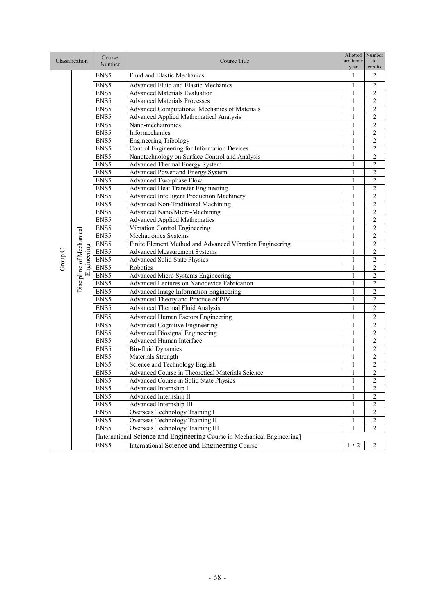| Classification |                                         | Course           | Course Title                                                             | Allotted<br>academic | Number<br>of            |
|----------------|-----------------------------------------|------------------|--------------------------------------------------------------------------|----------------------|-------------------------|
|                |                                         | Number           |                                                                          | year                 | credits                 |
|                |                                         | ENS <sub>5</sub> | Fluid and Elastic Mechanics                                              | 1                    | $\overline{2}$          |
|                |                                         | ENS5             | Advanced Fluid and Elastic Mechanics                                     | 1                    | $\overline{2}$          |
|                |                                         | ENS5             | <b>Advanced Materials Evaluation</b>                                     | 1                    | 2                       |
|                |                                         | ENS5             | <b>Advanced Materials Processes</b>                                      | 1                    | $\overline{2}$          |
|                |                                         | ENS5             | Advanced Computational Mechanics of Materials                            | 1                    | $\overline{c}$          |
|                |                                         | ENS5             | Advanced Applied Mathematical Analysis                                   | $\mathbf{1}$         | $\overline{2}$          |
|                |                                         | ENS5             | Nano-mechatronics                                                        | $\mathbf{1}$         | $\overline{c}$          |
|                |                                         | ENS5             | Informechanics                                                           | $\mathbf{1}$         | $\overline{2}$          |
|                |                                         | ENS5             | <b>Engineering Tribology</b>                                             | 1                    | $\overline{c}$          |
|                |                                         | ENS5             | <b>Control Engineering for Information Devices</b>                       | 1                    | $\overline{2}$          |
|                |                                         | ENS5             | Nanotechnology on Surface Control and Analysis                           | 1                    | $\overline{2}$          |
|                |                                         | ENS5             | Advanced Thermal Energy System                                           | 1                    | $\overline{c}$          |
|                |                                         | ENS5             | Advanced Power and Energy System                                         | $\mathbf{1}$         | $\overline{c}$          |
|                |                                         | ENS5             | Advanced Two-phase Flow                                                  | 1                    | $\overline{c}$          |
|                |                                         | ENS5             | <b>Advanced Heat Transfer Engineering</b>                                | 1                    | $\overline{2}$          |
|                |                                         | ENS5             | Advanced Intelligent Production Machinery                                | 1                    | $\overline{2}$          |
|                |                                         | ENS5             | Advanced Non-Traditional Machining                                       | $\mathbf{1}$         | $\overline{c}$          |
|                |                                         | ENS5             | Advanced Nano/Micro-Machining                                            | 1                    | $\overline{2}$          |
|                |                                         | ENS5             | <b>Advanced Applied Mathematics</b>                                      | $\mathbf{1}$         | $\overline{c}$          |
|                | Discipline of Mechanical<br>Engineering | ENS5             | Vibration Control Engineering                                            | 1                    | $\overline{c}$          |
|                |                                         | ENS5             | Mechatronics Systems                                                     | $\mathbf{1}$         | $\overline{2}$          |
|                |                                         | ENS5             | Finite Element Method and Advanced Vibration Engineering                 | $\mathbf{1}$         | $\overline{c}$          |
|                |                                         | ENS5             | <b>Advanced Measurement Systems</b>                                      | $\mathbf{1}$         | $\overline{c}$          |
| Group C        |                                         | ENS5             | <b>Advanced Solid State Physics</b>                                      | 1                    | $\overline{c}$          |
|                |                                         | ENS5             | Robotics                                                                 | 1                    | $\overline{c}$          |
|                |                                         | ENS5             | Advanced Micro Systems Engineering                                       | 1                    | $\overline{c}$          |
|                |                                         | ENS5             | Advanced Lectures on Nanodevice Fabrication                              | $\mathbf{1}$         | $\overline{2}$          |
|                |                                         | ENS5             | Advanced Image Information Engineering                                   | 1                    | $\overline{c}$          |
|                |                                         | ENS5             | Advanced Theory and Practice of PIV                                      | $\mathbf{1}$         | $\overline{2}$          |
|                |                                         | ENS5             | Advanced Thermal Fluid Analysis                                          | $\mathbf{1}$         | $\overline{c}$          |
|                |                                         | ENS5             | Advanced Human Factors Engineering                                       | $\mathbf{1}$         | $\overline{c}$          |
|                |                                         | ENS5             | <b>Advanced Cognitive Engineering</b>                                    | $\mathbf{1}$         | $\overline{2}$          |
|                |                                         | ENS5             | <b>Advanced Biosignal Engineering</b>                                    | 1                    | $\overline{c}$          |
|                |                                         | ENS5             | Advanced Human Interface                                                 | 1                    | $\overline{2}$          |
|                |                                         | ENS5             | <b>Bio-fluid Dynamics</b>                                                | 1                    | $\overline{2}$          |
|                |                                         | ENS5             | <b>Materials Strength</b>                                                | $\mathbf{1}$         | $\overline{2}$          |
|                |                                         | ENS5             | Science and Technology English                                           | 1                    | $\overline{2}$          |
|                |                                         | ENS5             | Advanced Course in Theoretical Materials Science                         | 1                    | 2                       |
|                |                                         | ENS5             | Advanced Course in Solid State Physics                                   | $\mathbf{I}$         | $\overline{2}$          |
|                |                                         | ENS5             | Advanced Internship I                                                    | $\mathbf{1}$         | $\overline{2}$          |
|                |                                         | ENS5             | Advanced Internship II                                                   | 1                    | $\overline{\mathbf{c}}$ |
|                |                                         | ENS5             | Advanced Internship III                                                  | 1                    | $\overline{c}$          |
|                |                                         | ENS5             | Overseas Technology Training I                                           | 1                    | 2                       |
|                |                                         | ENS5             | Overseas Technology Training II                                          | 1                    | 2                       |
|                |                                         | ENS5             | Overseas Technology Training III                                         | 1                    | 2                       |
|                |                                         |                  | [International Science and Engineering Course in Mechanical Engineering] |                      |                         |
|                |                                         | ENS5             | International Science and Engineering Course                             | $1\cdot 2$           | $\overline{c}$          |
|                |                                         |                  |                                                                          |                      |                         |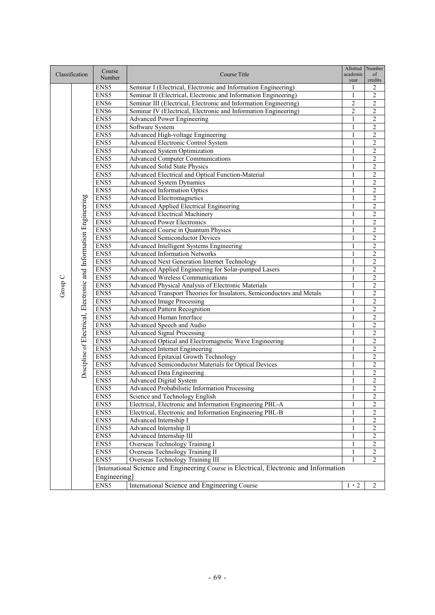| Classification |                                                                  | Course           | Course Title                                                                            | Allotted<br>academic | Number<br>of            |
|----------------|------------------------------------------------------------------|------------------|-----------------------------------------------------------------------------------------|----------------------|-------------------------|
|                |                                                                  | Number           |                                                                                         | year                 | credits                 |
|                |                                                                  | ENS5             | Seminar I (Electrical, Electronic and Information Engineering)                          | 1                    | 2                       |
|                |                                                                  | ENS5             | Seminar II (Electrical, Electronic and Information Engineering)                         | 1                    | 2                       |
|                |                                                                  | ENS <sub>6</sub> | Seminar III (Electrical, Electronic and Information Engineering)                        | $\overline{c}$       | $\overline{2}$          |
|                |                                                                  | ENS <sub>6</sub> | Seminar IV (Electrical, Electronic and Information Engineering)                         | $\overline{2}$       | $\overline{2}$          |
|                |                                                                  | ENS5             | <b>Advanced Power Engineering</b>                                                       | $\mathbf{1}$         | $\overline{2}$          |
|                |                                                                  | ENS5             | Software System                                                                         | $\mathbf{1}$         | $\overline{2}$          |
|                |                                                                  | ENS5             | Advanced High-voltage Engineering                                                       | 1                    | $\overline{\mathbf{c}}$ |
|                |                                                                  | ENS5             | Advanced Electronic Control System                                                      | $\mathbf{1}$         | $\overline{2}$          |
|                |                                                                  | ENS5             | Advanced System Optimization                                                            | 1                    | $\overline{c}$          |
|                |                                                                  | ENS5             | <b>Advanced Computer Communications</b>                                                 | $\mathbf{1}$         | $\overline{2}$          |
|                |                                                                  | ENS5             | <b>Advanced Solid State Physics</b>                                                     | 1                    | $\overline{c}$          |
|                |                                                                  | ENS5             | Advanced Electrical and Optical Function-Material                                       | 1                    | 2                       |
|                |                                                                  | ENS5             | <b>Advanced System Dynamics</b>                                                         | 1                    | $\overline{c}$          |
|                |                                                                  | ENS5             | <b>Advanced Information Optics</b>                                                      | 1                    | $\overline{2}$          |
|                |                                                                  | ENS5             | <b>Advanced Electromagnetics</b>                                                        | 1                    | $\overline{2}$          |
|                |                                                                  | ENS5             | Advanced Applied Electrical Engineering                                                 | $\mathbf{1}$         | $\overline{2}$          |
|                |                                                                  | ENS5             | <b>Advanced Electrical Machinery</b>                                                    | 1                    | $\overline{2}$          |
|                |                                                                  | ENS5             | <b>Advanced Power Electronics</b>                                                       | 1                    | $\overline{2}$          |
|                |                                                                  | ENS5             | Advanced Course in Quantum Physics                                                      | 1                    | $\overline{c}$          |
|                |                                                                  | ENS5             | <b>Advanced Semiconductor Devices</b>                                                   | 1                    | $\overline{2}$          |
|                |                                                                  | ENS5             | Advanced Intelligent Systems Engineering                                                | $\mathbf{1}$         | $\overline{c}$          |
|                |                                                                  | ENS5             | <b>Advanced Information Networks</b>                                                    | 1                    | $\overline{c}$          |
|                |                                                                  | ENS5             | Advanced Next Generation Internet Technology                                            | 1                    | $\overline{2}$          |
|                | Discipline of Electrical, Electronic and Information Engineering | ENS5             | Advanced Applied Engineering for Solar-pumped Lasers                                    | 1                    | $\overline{c}$          |
|                |                                                                  | ENS5             | <b>Advanced Wireless Communications</b>                                                 | 1                    | $\overline{c}$          |
|                |                                                                  | ENS5             | Advanced Physical Analysis of Electronic Materials                                      | $\mathbf{1}$         | $\overline{c}$          |
| Group C        |                                                                  | ENS5             | Advanced Transport Theories for Insulators, Semiconductors and Metals                   | $\mathbf{1}$         | $\overline{2}$          |
|                |                                                                  | ENS5             | <b>Advanced Image Processing</b>                                                        | 1                    | 2                       |
|                |                                                                  | ENS5             | <b>Advanced Pattern Recognition</b>                                                     | 1                    | $\overline{2}$          |
|                |                                                                  | ENS5             | Advanced Human Interface                                                                | 1                    | $\overline{2}$          |
|                |                                                                  | ENS5             | Advanced Speech and Audio                                                               | $\mathbf{1}$         | $\overline{2}$          |
|                |                                                                  | ENS5             | <b>Advanced Signal Processing</b>                                                       | $\mathbf{1}$         | $\overline{2}$          |
|                |                                                                  | ENS5             | Advanced Optical and Electromagnetic Wave Engineering                                   | 1                    | $\overline{c}$          |
|                |                                                                  | ENS5             | <b>Advanced Internet Engineering</b>                                                    | 1                    | $\overline{2}$          |
|                |                                                                  | ENS5             | Advanced Epitaxial Growth Technology                                                    | 1                    | $\overline{2}$          |
|                |                                                                  | ENS5             | Advanced Semiconductor Materials for Optical Devices                                    | 1                    | $\overline{c}$          |
|                |                                                                  | ENS5             | <b>Advanced Data Engineering</b>                                                        | $\mathbf{1}$         | $\overline{c}$          |
|                |                                                                  | ENS5             | <b>Advanced Digital System</b>                                                          | 1                    | $\overline{\mathbf{c}}$ |
|                |                                                                  | ENS5             | Advanced Probabilistic Information Processing                                           | $\mathbf{1}$         | $\overline{2}$          |
|                |                                                                  | ENS5             | Science and Technology English                                                          | 1                    | 2                       |
|                |                                                                  | ENS5             | Electrical, Electronic and Information Engineering PBL-A                                | 1                    | 2                       |
|                |                                                                  | ENS5             | Electrical, Electronic and Information Engineering PBL-B                                | 1                    | $\overline{\mathbf{c}}$ |
|                |                                                                  | ENS5             | Advanced Internship I                                                                   | 1                    | $\overline{\mathbf{c}}$ |
|                |                                                                  | ENS5             | Advanced Internship II                                                                  | 1                    | $\overline{c}$          |
|                |                                                                  | ENS5             | Advanced Internship III                                                                 | 1                    | 2                       |
|                |                                                                  | ENS5             | Overseas Technology Training I                                                          | 1                    | 2                       |
|                |                                                                  | ENS5             | Overseas Technology Training II                                                         | $\mathbf{1}$         | $\overline{\mathbf{c}}$ |
|                |                                                                  | ENS5             | Overseas Technology Training III                                                        | $\mathbf{1}$         | $\overline{2}$          |
|                |                                                                  |                  | [International Science and Engineering Course in Electrical, Electronic and Information |                      |                         |
|                |                                                                  | Engineering]     |                                                                                         |                      |                         |
|                |                                                                  |                  |                                                                                         |                      |                         |
|                |                                                                  | ENS5             | International Science and Engineering Course                                            | $1 \cdot 2$          | 2                       |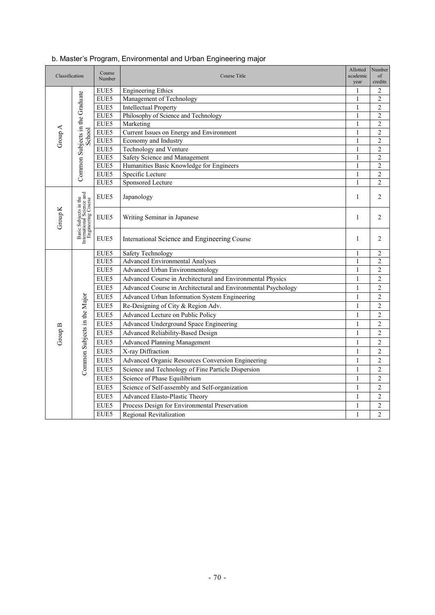| Classification |                                                                          | Course<br>Number | Allotted<br>Course Title<br>academic                                      |                   | Number<br>$\sigma$ f<br>credits  |
|----------------|--------------------------------------------------------------------------|------------------|---------------------------------------------------------------------------|-------------------|----------------------------------|
|                |                                                                          | EUE5             | <b>Engineering Ethics</b>                                                 | 1                 | 2                                |
| Group A        | Common Subjects in the Graduate                                          | EUE5             | Management of Technology                                                  | $\mathbf{1}$      | $\overline{c}$                   |
|                |                                                                          | EUE5             | <b>Intellectual Property</b>                                              | 1                 | 2                                |
|                |                                                                          | EUE5             | Philosophy of Science and Technology                                      | $\mathbf{1}$      | $\overline{c}$                   |
|                |                                                                          | EUE5             | Marketing                                                                 | 1                 | $\overline{c}$                   |
|                | School                                                                   | EUE5             | Current Issues on Energy and Environment                                  | 1                 | $\overline{c}$                   |
|                |                                                                          | EUE5             | Economy and Industry                                                      | $\mathbf{1}$      | $\overline{c}$                   |
|                |                                                                          | EUE5<br>EUE5     | Technology and Venture                                                    | $\mathbf{1}$<br>1 | $\mathfrak{2}$                   |
|                |                                                                          | EUE5             | Safety Science and Management<br>Humanities Basic Knowledge for Engineers | 1                 | $\overline{c}$<br>$\overline{c}$ |
|                |                                                                          | EUE5             | Specific Lecture                                                          | $\mathbf{1}$      | $\overline{c}$                   |
|                |                                                                          | EUE5             | Sponsored Lecture                                                         | $\mathbf{1}$      | $\overline{c}$                   |
|                |                                                                          | EUE5             | Japanology                                                                | $\mathbf{1}$      | 2                                |
| Group K        | Basic Subjects in the<br>International Science and<br>Engineering Course | EUE5             | Writing Seminar in Japanese                                               | $\mathbf{1}$      | $\overline{2}$                   |
|                |                                                                          | EUE5             | International Science and Engineering Course                              | 1                 | 2                                |
|                |                                                                          | EUE5             | Safety Technology                                                         | $\mathbf{1}$      | $\mathfrak{2}$                   |
|                |                                                                          | EUE5             | <b>Advanced Environmental Analyses</b>                                    | 1                 | 2                                |
|                |                                                                          | EUE5             | Advanced Urban Environmentology                                           | $\mathbf{1}$      | $\overline{c}$                   |
|                |                                                                          | EUE5             | Advanced Course in Architectural and Environmental Physics                | $\mathbf{1}$      | $\overline{c}$                   |
|                |                                                                          | EUE5             | Advanced Course in Architectural and Environmental Psychology             | $\mathbf{1}$      | $\mathfrak{2}$                   |
|                |                                                                          | EUE5             | Advanced Urban Information System Engineering                             | $\mathbf{1}$      | $\overline{c}$                   |
|                |                                                                          | EUE5             | Re-Designing of City & Region Adv.                                        | $\mathbf{1}$      | $\overline{c}$                   |
|                |                                                                          | EUE5             | Advanced Lecture on Public Policy                                         | $\mathbf{1}$      | $\mathfrak{2}$                   |
|                |                                                                          | EUE5             | Advanced Underground Space Engineering                                    | $\mathbf{1}$      | 2                                |
| Group B        |                                                                          | EUE5             | Advanced Reliability-Based Design                                         | $\mathbf{1}$      | $\overline{c}$                   |
|                |                                                                          | EUE5             | <b>Advanced Planning Management</b>                                       | $\mathbf{1}$      | $\overline{c}$                   |
|                |                                                                          | EUE5             | X-ray Diffraction                                                         | 1                 | $\mathfrak{2}$                   |
|                |                                                                          | EUE5             | Advanced Organic Resources Conversion Engineering                         | $\mathbf{1}$      | $\overline{c}$                   |
|                | Common Subjects in the Major                                             | EUE5             | Science and Technology of Fine Particle Dispersion                        | $\mathbf{1}$      | $\overline{c}$                   |
|                |                                                                          | EUE5             | Science of Phase Equilibrium                                              | $\overline{1}$    | $\overline{c}$                   |
|                |                                                                          | EUE5             | Science of Self-assembly and Self-organization                            | $\mathbf{1}$      | $\mathfrak{2}$                   |
|                |                                                                          | EUE5             | Advanced Elasto-Plastic Theory                                            | $\mathbf{1}$      | $\overline{c}$                   |
|                |                                                                          | EUE5             | Process Design for Environmental Preservation                             | $\mathbf{1}$      | $\overline{c}$                   |
|                |                                                                          | EUE5             | Regional Revitalization                                                   | $\mathbf{1}$      | $\overline{2}$                   |

## b. Master's Program, Environmental and Urban Engineering major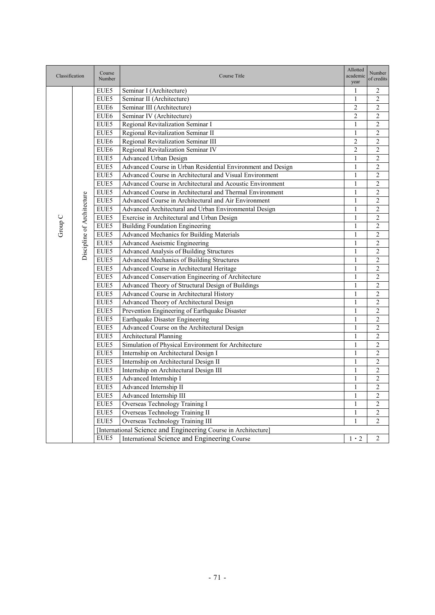| Classification |                            | Course<br>Number | Course Title                                                   | Allotted<br>academic<br>year | Number<br>of credits |
|----------------|----------------------------|------------------|----------------------------------------------------------------|------------------------------|----------------------|
|                |                            | EUE5             | Seminar I (Architecture)                                       | 1                            | $\overline{2}$       |
|                |                            | EUE5             | Seminar II (Architecture)                                      | 1                            | $\overline{2}$       |
|                |                            | EUE <sub>6</sub> | Seminar III (Architecture)                                     | 2                            | $\overline{c}$       |
|                |                            | EUE <sub>6</sub> | Seminar IV (Architecture)                                      | 2                            | $\overline{2}$       |
|                |                            | EUE5             | Regional Revitalization Seminar I                              | $\mathbf{1}$                 | $\overline{c}$       |
|                |                            | EUE5             | Regional Revitalization Seminar II                             | $\mathbf{1}$                 | $\overline{c}$       |
|                |                            | EUE <sub>6</sub> | Regional Revitalization Seminar III                            | 2                            | $\overline{2}$       |
|                |                            | EUE6             | Regional Revitalization Seminar IV                             | $\overline{c}$               | $\overline{2}$       |
|                |                            | EUE5             | Advanced Urban Design                                          | $\mathbf{1}$                 | $\overline{2}$       |
|                |                            | EUE5             | Advanced Course in Urban Residential Environment and Design    | 1                            | $\overline{2}$       |
|                |                            | EUE5             | Advanced Course in Architectural and Visual Environment        | $\mathbf{1}$                 | $\overline{c}$       |
|                |                            | EUE5             | Advanced Course in Architectural and Acoustic Environment      | $\mathbf{1}$                 | $\overline{2}$       |
|                |                            | EUE5             | Advanced Course in Architectural and Thermal Environment       | 1                            | $\overline{c}$       |
|                |                            | EUE5             | Advanced Course in Architectural and Air Environment           | $\mathbf{1}$                 | $\overline{c}$       |
|                |                            | EUE5             | Advanced Architectural and Urban Environmental Design          | $\mathbf{1}$                 | $\overline{2}$       |
|                |                            | EUE5             | Exercise in Architectural and Urban Design                     | 1                            | 2                    |
| Group C        |                            | EUE5             | <b>Building Foundation Engineering</b>                         | $\mathbf{1}$                 | $\overline{2}$       |
|                |                            | EUE5             | Advanced Mechanics for Building Materials                      | $\mathbf{1}$                 | $\overline{2}$       |
|                | Discipline of Architecture | EUE5             | Advanced Aseismic Engineering                                  | $\mathbf{1}$                 | $\mathfrak{2}$       |
|                |                            | EUE5             | Advanced Analysis of Building Structures                       | $\mathbf{1}$                 | $\overline{c}$       |
|                |                            | EUE5             | Advanced Mechanics of Building Structures                      | $\mathbf{1}$                 | $\overline{2}$       |
|                |                            | EUE5             | Advanced Course in Architectural Heritage                      | 1                            | $\overline{c}$       |
|                |                            | EUE5             | Advanced Conservation Engineering of Architecture              | $\mathbf{1}$                 | $\overline{2}$       |
|                |                            | EUE5             | Advanced Theory of Structural Design of Buildings              | $\mathbf{1}$                 | $\overline{2}$       |
|                |                            | EUE5             | Advanced Course in Architectural History                       | $\mathbf{1}$                 | $\mathfrak{2}$       |
|                |                            | EUE5             | Advanced Theory of Architectural Design                        | $\mathbf{1}$                 | $\overline{2}$       |
|                |                            | EUE5             | Prevention Engineering of Earthquake Disaster                  | $\mathbf{1}$                 | $\overline{c}$       |
|                |                            | EUE5             | Earthquake Disaster Engineering                                | $\mathbf{1}$                 | $\overline{2}$       |
|                |                            | EUE5             | Advanced Course on the Architectural Design                    | 1                            | $\overline{c}$       |
|                |                            | EUE5             | <b>Architectural Planning</b>                                  | $\mathbf{1}$                 | $\overline{2}$       |
|                |                            | EUE5             | Simulation of Physical Environment for Architecture            | $\mathbf{1}$                 | $\overline{c}$       |
|                |                            | EUE5             | Internship on Architectural Design I                           | 1                            | $\overline{c}$       |
|                |                            | EUE5             | Internship on Architectural Design II                          | $\mathbf{1}$                 | $\overline{c}$       |
|                |                            | EUE5             | Internship on Architectural Design III                         | $\mathbf{1}$                 | $\overline{c}$       |
|                |                            | EUE5             | Advanced Internship I                                          | 1                            | $\overline{2}$       |
|                |                            | EUE5             | Advanced Internship II                                         | $\mathbf{1}$                 | $\overline{2}$       |
|                |                            | EUE5             | Advanced Internship III                                        | $\mathbf{1}$                 | $\overline{c}$       |
|                |                            | EUE5             | Overseas Technology Training I                                 | 1                            | $\overline{c}$       |
|                |                            | EUE5             | Overseas Technology Training II                                | $\mathbf{1}$                 | $\overline{c}$       |
|                |                            | EUE5             | Overseas Technology Training III                               | $\mathbf{1}$                 | $\overline{2}$       |
|                |                            |                  | [International Science and Engineering Course in Architecture] |                              |                      |
|                |                            | EUE5             | International Science and Engineering Course                   | $1 \cdot 2$                  | $\overline{2}$       |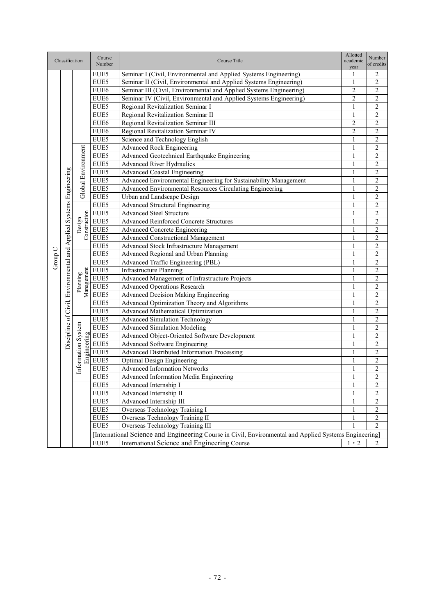|         |                                                                    |                                   | Course           |                                                                                                        | Allotted          | Number                           |
|---------|--------------------------------------------------------------------|-----------------------------------|------------------|--------------------------------------------------------------------------------------------------------|-------------------|----------------------------------|
|         | Classification                                                     |                                   | Number           | Course Title                                                                                           | academic<br>year  | of credits                       |
|         |                                                                    |                                   | EUE5             | Seminar I (Civil, Environmental and Applied Systems Engineering)                                       | 1                 | 2                                |
|         |                                                                    |                                   | EUE5             | Seminar II (Civil, Environmental and Applied Systems Engineering)                                      | $\mathbf{1}$      | $\overline{2}$                   |
|         |                                                                    |                                   | EUE6             | Seminar III (Civil, Environmental and Applied Systems Engineering)                                     | $\overline{c}$    | $\overline{2}$                   |
|         |                                                                    |                                   | EUE <sub>6</sub> | Seminar IV (Civil, Environmental and Applied Systems Engineering)                                      | $\overline{2}$    | $\mathbf{2}$                     |
|         |                                                                    |                                   | EUE5             | Regional Revitalization Seminar I                                                                      | $\mathbf{1}$      | $\overline{c}$                   |
|         |                                                                    |                                   | EUE5             | Regional Revitalization Seminar II                                                                     | $\mathbf{1}$      | $\overline{c}$                   |
|         |                                                                    |                                   | EUE6             | Regional Revitalization Seminar III                                                                    | $\overline{c}$    | $\overline{c}$                   |
|         |                                                                    |                                   | EUE <sub>6</sub> | Regional Revitalization Seminar IV                                                                     | 2                 | 2                                |
|         |                                                                    |                                   | EUE5             | Science and Technology English                                                                         | 1                 | $\overline{c}$                   |
|         |                                                                    |                                   | EUE5             | <b>Advanced Rock Engineering</b>                                                                       | 1                 | $\overline{2}$                   |
|         |                                                                    |                                   | EUE5             | Advanced Geotechnical Earthquake Engineering                                                           | $\mathbf{1}$      | $\overline{c}$                   |
|         |                                                                    |                                   | EUE5             | <b>Advanced River Hydraulics</b>                                                                       | $\mathbf{1}$      | $\overline{2}$                   |
|         |                                                                    |                                   | EUE5             | <b>Advanced Coastal Engineering</b>                                                                    | $\mathbf{1}$      | $\overline{2}$                   |
|         |                                                                    |                                   | EUE5             | Advanced Environmental Engineering for Sustainability Management                                       | $\mathbf{1}$      | $\overline{2}$                   |
|         |                                                                    |                                   | EUE5             | Advanced Environmental Resources Circulating Engineering                                               | $\mathbf{1}$      | $\overline{c}$                   |
|         |                                                                    | Global Environment                | EUE5             | Urban and Landscape Design                                                                             | 1                 | $\overline{2}$                   |
|         |                                                                    |                                   | EUE5             | <b>Advanced Structural Engineering</b>                                                                 | 1                 | $\overline{2}$                   |
|         |                                                                    |                                   | EUE5             | <b>Advanced Steel Structure</b>                                                                        | 1                 | $\overline{c}$                   |
|         |                                                                    |                                   | EUE5             | <b>Advanced Reinforced Concrete Structures</b>                                                         | 1                 | $\mathfrak{2}$                   |
|         |                                                                    | Construction<br>Design            | EUE5             | <b>Advanced Concrete Engineering</b>                                                                   | $\mathbf{1}$      | $\overline{c}$                   |
|         |                                                                    |                                   | EUE5             | Advanced Constructional Management                                                                     | 1                 | $\mathfrak{2}$                   |
|         |                                                                    |                                   | EUE5             | Advanced Stock Infrastructure Management                                                               | 1                 | $\overline{c}$                   |
|         |                                                                    |                                   | EUE5             | Advanced Regional and Urban Planning                                                                   | 1                 | 2                                |
| Group C | Discipline of Civil, Environmental and Applied Systems Engineering |                                   | EUE5             | Advanced Traffic Engineering (PBL)                                                                     | 1                 | $\overline{c}$                   |
|         |                                                                    |                                   | EUE5             | <b>Infrastructure Planning</b>                                                                         | 1                 | $\overline{c}$                   |
|         |                                                                    | Planning<br>Management            | EUE5             | Advanced Management of Infrastructure Projects                                                         | $\mathbf{1}$      | $\overline{2}$                   |
|         |                                                                    |                                   | EUE5             | <b>Advanced Operations Research</b>                                                                    | $\mathbf{1}$      | $\overline{2}$                   |
|         |                                                                    | д                                 | EUE5             | Advanced Decision Making Engineering                                                                   | $\mathbf{1}$      | $\overline{2}$                   |
|         |                                                                    |                                   | EUE5             | Advanced Optimization Theory and Algorithms                                                            | $\mathbf{1}$      | $\overline{2}$                   |
|         |                                                                    |                                   | EUE5             | Advanced Mathematical Optimization                                                                     | 1                 | $\overline{c}$                   |
|         |                                                                    |                                   | EUE5             | Advanced Simulation Technology                                                                         | 1                 | $\overline{2}$                   |
|         |                                                                    |                                   | EUE5             | <b>Advanced Simulation Modeling</b>                                                                    | $\mathbf{1}$      | $\overline{c}$                   |
|         |                                                                    |                                   | EUE5             | Advanced Object-Oriented Software Development                                                          | 1                 | $\overline{2}$                   |
|         |                                                                    |                                   | EUE5             | Advanced Software Engineering                                                                          | 1                 | $\overline{c}$                   |
|         |                                                                    | Information System<br>Engineering | EUE5             | <b>Advanced Distributed Information Processing</b>                                                     | 1                 | $\overline{2}$                   |
|         |                                                                    |                                   | EUE5             | <b>Optimal Design Engineering</b>                                                                      | 1                 | $\overline{c}$                   |
|         |                                                                    |                                   | EUE5             | <b>Advanced Information Networks</b>                                                                   | 1                 | $\overline{c}$                   |
|         |                                                                    |                                   | EUE5             |                                                                                                        | 1                 | $\overline{2}$                   |
|         |                                                                    |                                   |                  | Advanced Information Media Engineering                                                                 |                   |                                  |
|         |                                                                    |                                   | EUE5             | Advanced Internship I<br>Advanced Internship II                                                        | 1                 | $\sqrt{2}$                       |
|         |                                                                    |                                   | EUE5<br>EUE5     | Advanced Internship III                                                                                | 1                 | $\mathbf{2}$                     |
|         |                                                                    |                                   |                  |                                                                                                        | 1                 | $\mathbf{2}$                     |
|         |                                                                    |                                   | EUE5<br>EUE5     | Overseas Technology Training I<br>Overseas Technology Training II                                      | 1<br>$\mathbf{1}$ | $\overline{c}$<br>$\overline{2}$ |
|         |                                                                    |                                   | EUE5             | Overseas Technology Training III                                                                       | 1                 | $\overline{2}$                   |
|         |                                                                    |                                   |                  |                                                                                                        |                   |                                  |
|         |                                                                    |                                   |                  | [International Science and Engineering Course in Civil, Environmental and Applied Systems Engineering] |                   |                                  |
|         |                                                                    |                                   | EUE5             | International Science and Engineering Course                                                           | $1 \cdot 2$       | 2                                |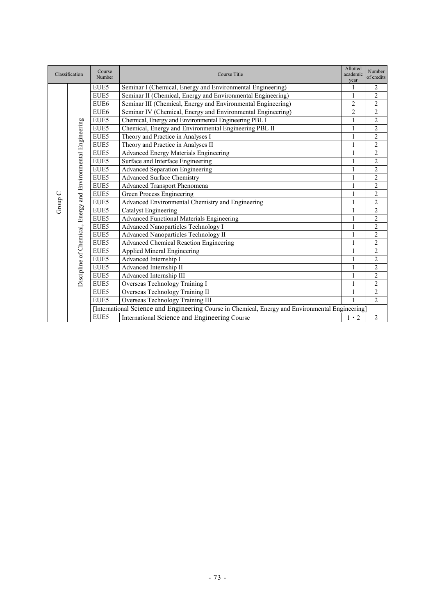|         | Classification                                               | Course<br>Number | Course Title                                                                                     | Allotted<br>academic<br>year | Number<br>of credits |
|---------|--------------------------------------------------------------|------------------|--------------------------------------------------------------------------------------------------|------------------------------|----------------------|
|         |                                                              | EUE5             | Seminar I (Chemical, Energy and Environmental Engineering)                                       | 1                            | $\overline{2}$       |
|         |                                                              | EUE5             | Seminar II (Chemical, Energy and Environmental Engineering)                                      |                              | $\overline{c}$       |
|         |                                                              | EUE6             | Seminar III (Chemical, Energy and Environmental Engineering)                                     | $\overline{c}$               | $\overline{2}$       |
|         |                                                              | EUE6             | Seminar IV (Chemical, Energy and Environmental Engineering)                                      | $\overline{c}$               | $\overline{c}$       |
|         |                                                              | EUE5             | Chemical, Energy and Environmental Engineering PBL I                                             | 1                            | $\overline{2}$       |
|         |                                                              | EUE5             | Chemical, Energy and Environmental Engineering PBL II                                            | 1                            | $\overline{2}$       |
|         |                                                              | EUE5             | Theory and Practice in Analyses I                                                                | 1                            | $\overline{2}$       |
|         |                                                              | EUE5             | Theory and Practice in Analyses II                                                               | 1                            | $\overline{2}$       |
|         |                                                              | EUE5             | <b>Advanced Energy Materials Engineering</b>                                                     | 1                            | $\overline{2}$       |
|         | Discipline of Chemical, Energy and Environmental Engineering | EUE5             | Surface and Interface Engineering                                                                |                              | $\overline{2}$       |
|         |                                                              | EUE5             | <b>Advanced Separation Engineering</b>                                                           | 1                            | $\overline{2}$       |
|         |                                                              | EUE5             | Advanced Surface Chemistry                                                                       | 1                            | $\overline{c}$       |
|         |                                                              | EUE5             | <b>Advanced Transport Phenomena</b>                                                              | 1                            | $\overline{2}$       |
|         |                                                              | EUE5             | <b>Green Process Engineering</b>                                                                 | 1                            | $\overline{2}$       |
| Group C |                                                              | EUE5             | Advanced Environmental Chemistry and Engineering                                                 | $\mathbf{1}$                 | $\overline{2}$       |
|         |                                                              | EUE5             | <b>Catalyst Engineering</b>                                                                      | 1                            | $\overline{2}$       |
|         |                                                              | EUE5             | <b>Advanced Functional Materials Engineering</b>                                                 | 1                            | $\overline{2}$       |
|         |                                                              | EUE5             | <b>Advanced Nanoparticles Technology I</b>                                                       | 1                            | $\overline{2}$       |
|         |                                                              | EUE5             | <b>Advanced Nanoparticles Technology II</b>                                                      | 1                            | $\overline{2}$       |
|         |                                                              | EUE5             | Advanced Chemical Reaction Engineering                                                           | 1                            | $\overline{c}$       |
|         |                                                              | EUE5             | <b>Applied Mineral Engineering</b>                                                               | 1                            | $\overline{2}$       |
|         |                                                              | EUE5             | Advanced Internship I                                                                            | 1                            | $\overline{c}$       |
|         |                                                              | EUE5             | Advanced Internship II                                                                           | 1                            | $\overline{2}$       |
|         |                                                              | EUE5             | Advanced Internship III                                                                          | 1                            | $\overline{2}$       |
|         |                                                              | EUE5             | Overseas Technology Training I                                                                   | 1                            | $\overline{2}$       |
|         |                                                              | EUE5             | Overseas Technology Training II                                                                  |                              | $\overline{2}$       |
|         |                                                              | EUE5             | Overseas Technology Training III                                                                 | 1                            | $\overline{2}$       |
|         |                                                              |                  | [International Science and Engineering Course in Chemical, Energy and Environmental Engineering] |                              |                      |
|         |                                                              | EUE5             | International Science and Engineering Course                                                     | $1 \cdot 2$                  | $\overline{c}$       |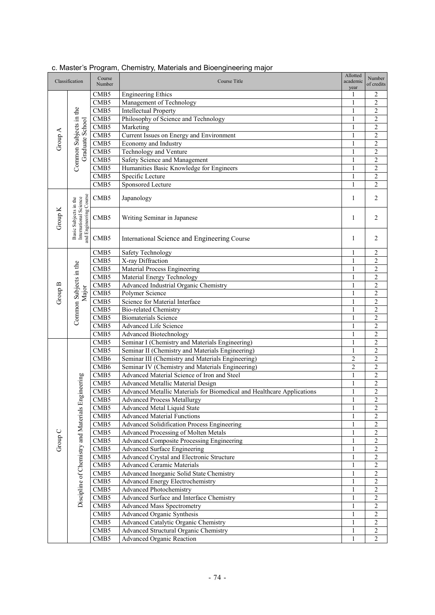| Classification |                                                                          | Course<br>Number         | Course Title                                                                     | Allotted<br>academic<br>year | Number<br>of credits             |
|----------------|--------------------------------------------------------------------------|--------------------------|----------------------------------------------------------------------------------|------------------------------|----------------------------------|
|                |                                                                          | CMB <sub>5</sub>         | <b>Engineering Ethics</b>                                                        |                              | 2                                |
|                |                                                                          | CMB5                     | Management of Technology                                                         | 1                            | $\overline{c}$                   |
|                |                                                                          | CMB5                     | <b>Intellectual Property</b>                                                     | 1                            | $\overline{c}$                   |
|                | Common Subjects in the                                                   | CMB5                     | Philosophy of Science and Technology                                             | 1                            | $\overline{c}$                   |
|                | Graduate School                                                          | CMB5                     | Marketing                                                                        | 1                            | $\overline{c}$                   |
| Group A        |                                                                          | CMB <sub>5</sub>         | Current Issues on Energy and Environment                                         | 1                            | $\overline{c}$                   |
|                |                                                                          | CMB <sub>5</sub>         | Economy and Industry                                                             | 1                            | $\overline{c}$                   |
|                |                                                                          | CMB5                     | Technology and Venture                                                           | 1                            | $\overline{2}$                   |
|                |                                                                          | CMB5                     | Safety Science and Management                                                    | 1                            | $\overline{2}$                   |
|                |                                                                          | CMB5                     | Humanities Basic Knowledge for Engineers                                         | 1                            | $\overline{c}$                   |
|                |                                                                          | CMB5                     | Specific Lecture                                                                 | $\mathbf{1}$                 | $\overline{2}$                   |
|                |                                                                          | CMB5                     | Sponsored Lecture                                                                | $\mathbf{1}$                 | $\overline{c}$                   |
|                |                                                                          | CMB <sub>5</sub>         | Japanology                                                                       | $\mathbf{1}$                 | 2                                |
| Group K        | and Engineering Course<br>Basic Subjects in the<br>International Science | CMB <sub>5</sub>         | Writing Seminar in Japanese                                                      | $\mathbf{1}$                 | $\overline{2}$                   |
|                |                                                                          | CMB <sub>5</sub>         | International Science and Engineering Course                                     | $\mathbf{1}$                 | $\overline{2}$                   |
|                |                                                                          | CMB <sub>5</sub>         | Safety Technology                                                                | 1                            | $\overline{c}$                   |
|                |                                                                          | CMB5                     | X-ray Diffraction                                                                | $\mathbf{1}$                 | $\overline{c}$                   |
|                |                                                                          | CMB5                     | <b>Material Process Engineering</b>                                              | $\mathbf{1}$                 | $\overline{c}$                   |
|                |                                                                          | CMB5                     | Material Energy Technology                                                       | $\mathbf{1}$                 | $\overline{2}$                   |
| Group B        | Common Subjects in the<br>Major                                          | CMB5                     | Advanced Industrial Organic Chemistry                                            | 1                            | $\overline{c}$                   |
|                |                                                                          | CMB <sub>5</sub>         | Polymer Science                                                                  | 1                            | $\overline{2}$                   |
|                |                                                                          | CMB5                     | Science for Material Interface                                                   | 1                            | $\overline{c}$                   |
|                |                                                                          | CMB5                     | <b>Bio-related Chemistry</b>                                                     | 1                            | $\overline{c}$                   |
|                |                                                                          | CMB5                     | <b>Biomaterials</b> Science                                                      | 1                            | $\overline{c}$                   |
|                |                                                                          | CMB <sub>5</sub>         | <b>Advanced Life Science</b>                                                     | 1                            | $\overline{2}$                   |
|                |                                                                          | CMB5                     | <b>Advanced Biotechnology</b>                                                    | 1                            | $\overline{c}$                   |
|                |                                                                          | CMB <sub>5</sub>         | Seminar I (Chemistry and Materials Engineering)                                  | 1                            | $\overline{c}$                   |
|                |                                                                          | CMB5                     | Seminar II (Chemistry and Materials Engineering)                                 | 1                            | $\overline{c}$                   |
|                |                                                                          | CMB <sub>6</sub>         | Seminar III (Chemistry and Materials Engineering)                                | 2                            | $\overline{c}$                   |
|                |                                                                          | CMB <sub>6</sub>         | Seminar IV (Chemistry and Materials Engineering)                                 | 2<br>$\mathbf{1}$            | $\overline{c}$                   |
|                | ngineering                                                               | CMB5<br>CMB <sub>5</sub> | Advanced Material Science of Iron and Steel<br>Advanced Metallic Material Design | $\mathbf{1}$                 | $\overline{c}$<br>$\overline{2}$ |
|                |                                                                          |                          | Advanced Metallic Materials for Biomedical and Healthcare Applications           | $\mathbf{1}$                 | $\overline{c}$                   |
|                |                                                                          | CMB <sub>5</sub><br>CMB5 | <b>Advanced Process Metallurgy</b>                                               | $\,1$                        | $\overline{c}$                   |
|                |                                                                          | CMB <sub>5</sub>         | Advanced Metal Liquid State                                                      | $\mathbf{1}$                 | $\overline{2}$                   |
|                |                                                                          | CMB <sub>5</sub>         | <b>Advanced Material Functions</b>                                               | 1                            | $\overline{c}$                   |
|                |                                                                          | CMB5                     | Advanced Solidification Process Engineering                                      | 1                            | $\overline{\mathbf{c}}$          |
|                |                                                                          | CMB <sub>5</sub>         | Advanced Processing of Molten Metals                                             | 1                            | $\overline{c}$                   |
| Group C        |                                                                          | CMB <sub>5</sub>         | <b>Advanced Composite Processing Engineering</b>                                 | 1                            | $\overline{2}$                   |
|                |                                                                          | CMB5                     | <b>Advanced Surface Engineering</b>                                              |                              | $\overline{2}$                   |
|                |                                                                          | CMB <sub>5</sub>         | Advanced Crystal and Electronic Structure                                        | 1                            | $\overline{c}$                   |
|                |                                                                          | CMB5                     | <b>Advanced Ceramic Materials</b>                                                | $\mathbf{1}$                 | $\overline{c}$                   |
|                | Discipline of Chemistry and Materials En                                 | CMB5                     | Advanced Inorganic Solid State Chemistry                                         | $\mathbf{1}$                 | $\overline{c}$                   |
|                |                                                                          | CMB <sub>5</sub>         | <b>Advanced Energy Electrochemistry</b>                                          | 1                            | $\overline{c}$                   |
|                |                                                                          | CMB <sub>5</sub>         | <b>Advanced Photochemistry</b>                                                   | 1                            | 2                                |
|                |                                                                          | CMB <sub>5</sub>         | Advanced Surface and Interface Chemistry                                         | $\mathbf{1}$                 | $\overline{c}$                   |
|                |                                                                          | CMB5                     | <b>Advanced Mass Spectrometry</b>                                                | $\mathbf{1}$                 | $\overline{2}$                   |
|                |                                                                          | CMB5                     | Advanced Organic Synthesis                                                       | $\mathbf{1}$                 | $\overline{c}$                   |
|                |                                                                          | CMB5                     | Advanced Catalytic Organic Chemistry                                             | $\mathbf{1}$                 | $\overline{2}$                   |
|                |                                                                          | CMB <sub>5</sub>         | Advanced Structural Organic Chemistry                                            | 1                            | $\sqrt{2}$                       |
|                |                                                                          | CMB5                     | <b>Advanced Organic Reaction</b>                                                 | 1                            | $\overline{2}$                   |

## c. Master's Program, Chemistry, Materials and Bioengineering major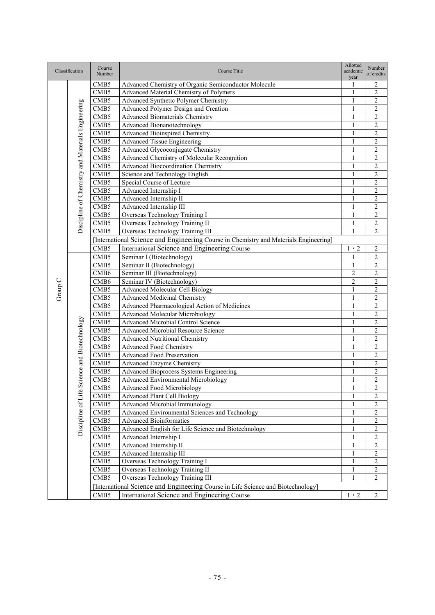| Classification<br>Number<br>of credits<br>year<br>Advanced Chemistry of Organic Semiconductor Molecule<br>CMB <sub>5</sub><br>1<br>2<br>Advanced Material Chemistry of Polymers<br>$\overline{c}$<br>CMB <sub>5</sub><br>1<br>Advanced Synthetic Polymer Chemistry<br>CMB5<br>2<br>1<br>Discipline of Chemistry and Materials Engineering<br>Advanced Polymer Design and Creation<br>$\overline{c}$<br>CMB <sub>5</sub><br>1<br>$\overline{c}$<br>CMB5<br><b>Advanced Biomaterials Chemistry</b><br>$\mathbf{1}$<br>$\overline{c}$<br>CMB5<br>Advanced Bionanotechnology<br>$\mathbf{1}$<br>$\overline{2}$<br>CMB5<br><b>Advanced Bioinspired Chemistry</b><br>$\mathbf{1}$<br>$\overline{c}$<br><b>Advanced Tissue Engineering</b><br>CMB5<br>1<br>$\overline{c}$<br>Advanced Glycoconjugate Chemistry<br>CMB <sub>5</sub><br>1<br>Advanced Chemistry of Molecular Recognition<br>$\overline{c}$<br>1<br>CMB <sub>5</sub><br>$\overline{2}$<br><b>Advanced Biocoordination Chemistry</b><br>CMB5<br>$\mathbf{1}$<br>Science and Technology English<br>$\overline{c}$<br>CMB5<br>1<br>Special Course of Lecture<br>$\overline{c}$<br>CMB <sub>5</sub><br>1<br>$\overline{2}$<br>CMB <sub>5</sub><br>Advanced Internship I<br>1<br>$\overline{2}$<br>CMB5<br>Advanced Internship II<br>1<br>Advanced Internship III<br>$\overline{c}$<br>CMB <sub>5</sub><br>1<br>$\overline{2}$<br>Overseas Technology Training I<br>CMB <sub>5</sub><br>1<br>Overseas Technology Training II<br>$\overline{c}$<br>CMB5<br>1<br>Overseas Technology Training III<br>CMB <sub>5</sub><br>$\mathbf{1}$<br>2<br>[International Science and Engineering Course in Chemistry and Materials Engineering]<br>International Science and Engineering Course<br>$\overline{c}$<br>CMB <sub>5</sub><br>$1 \cdot 2$<br>$\overline{2}$<br>CMB <sub>5</sub><br>Seminar I (Biotechnology)<br>$\mathbf{1}$<br>$\overline{c}$<br>Seminar II (Biotechnology)<br>CMB <sub>5</sub><br>$\mathbf{1}$<br>$\overline{c}$<br>CMB <sub>6</sub><br>Seminar III (Biotechnology)<br>$\overline{c}$<br>Group C<br>Seminar IV (Biotechnology)<br>$\overline{c}$<br>CMB <sub>6</sub><br>2<br>$\overline{c}$<br>CMB <sub>5</sub><br><b>Advanced Molecular Cell Biology</b><br>1<br><b>Advanced Medicinal Chemistry</b><br>$\overline{\mathbf{c}}$<br>CMB <sub>5</sub><br>1<br>CMB5<br>Advanced Pharmacological Action of Medicines<br>$\overline{\mathbf{c}}$<br>$\mathbf{1}$<br><b>Advanced Molecular Microbiology</b><br>$\overline{c}$<br>CMB <sub>5</sub><br>1<br>Science and Biotechnology<br>$\overline{2}$<br>CMB <sub>5</sub><br>Advanced Microbial Control Science<br>1<br>$\overline{c}$<br><b>Advanced Microbial Resource Science</b><br>CMB <sub>5</sub><br>$\mathbf{1}$<br>$\overline{c}$<br>CMB5<br><b>Advanced Nutritional Chemistry</b><br>1<br>$\overline{c}$<br>CMB <sub>5</sub><br><b>Advanced Food Chemistry</b><br>1<br>$\overline{c}$<br><b>Advanced Food Preservation</b><br>$\mathbf{1}$<br>CMB <sub>5</sub><br>$\overline{2}$<br><b>Advanced Enzyme Chemistry</b><br>CMB5<br>$\mathbf{1}$<br>$\overline{c}$<br>Advanced Bioprocess Systems Engineering<br>CMB <sub>5</sub><br>1<br>$\overline{2}$<br>Advanced Environmental Microbiology<br>CMB <sub>5</sub><br>$\mathbf{1}$<br>$\overline{1}$<br>$\overline{\mathbf{c}}$<br>CMB <sub>5</sub><br>Advanced Food Microbiology<br>Discipline of Life<br>$\overline{2}$<br>$\mathbf{1}$<br>CMB <sub>5</sub><br><b>Advanced Plant Cell Biology</b><br><b>Advanced Microbial Immunology</b><br>CMB <sub>5</sub><br>2<br>1<br>$\overline{c}$<br>Advanced Environmental Sciences and Technology<br>CMB <sub>5</sub><br>1<br>$\overline{c}$<br><b>Advanced Bioinformatics</b><br>CMB <sub>5</sub><br>1<br>Advanced English for Life Science and Biotechnology<br>$\overline{c}$<br>CMB5<br>1<br>2<br>CMB <sub>5</sub><br>Advanced Internship I<br>1<br>$\overline{c}$<br>CMB5<br>Advanced Internship II<br>$\mathbf{1}$<br>Advanced Internship III<br>$\overline{c}$<br>CMB5<br>1<br>CMB <sub>5</sub><br>$\overline{c}$<br>Overseas Technology Training I<br>1<br>CMB5<br>Overseas Technology Training II<br>$\overline{c}$<br>1<br>Overseas Technology Training III<br>$\overline{c}$<br>CMB <sub>5</sub><br>1<br>[International Science and Engineering Course in Life Science and Biotechnology] |  |  | Course           |                                              | Allotted    | Number         |
|--------------------------------------------------------------------------------------------------------------------------------------------------------------------------------------------------------------------------------------------------------------------------------------------------------------------------------------------------------------------------------------------------------------------------------------------------------------------------------------------------------------------------------------------------------------------------------------------------------------------------------------------------------------------------------------------------------------------------------------------------------------------------------------------------------------------------------------------------------------------------------------------------------------------------------------------------------------------------------------------------------------------------------------------------------------------------------------------------------------------------------------------------------------------------------------------------------------------------------------------------------------------------------------------------------------------------------------------------------------------------------------------------------------------------------------------------------------------------------------------------------------------------------------------------------------------------------------------------------------------------------------------------------------------------------------------------------------------------------------------------------------------------------------------------------------------------------------------------------------------------------------------------------------------------------------------------------------------------------------------------------------------------------------------------------------------------------------------------------------------------------------------------------------------------------------------------------------------------------------------------------------------------------------------------------------------------------------------------------------------------------------------------------------------------------------------------------------------------------------------------------------------------------------------------------------------------------------------------------------------------------------------------------------------------------------------------------------------------------------------------------------------------------------------------------------------------------------------------------------------------------------------------------------------------------------------------------------------------------------------------------------------------------------------------------------------------------------------------------------------------------------------------------------------------------------------------------------------------------------------------------------------------------------------------------------------------------------------------------------------------------------------------------------------------------------------------------------------------------------------------------------------------------------------------------------------------------------------------------------------------------------------------------------------------------------------------------------------------------------------------------------------------------------------------------------------------------------------------------------------------------------------------------------------------------------------------------------------------------------------------------------------------------------------------------------------------------------------------------------------------------------------------------------------------------------------------------------------------------------------------------------------------------------------------------------------|--|--|------------------|----------------------------------------------|-------------|----------------|
|                                                                                                                                                                                                                                                                                                                                                                                                                                                                                                                                                                                                                                                                                                                                                                                                                                                                                                                                                                                                                                                                                                                                                                                                                                                                                                                                                                                                                                                                                                                                                                                                                                                                                                                                                                                                                                                                                                                                                                                                                                                                                                                                                                                                                                                                                                                                                                                                                                                                                                                                                                                                                                                                                                                                                                                                                                                                                                                                                                                                                                                                                                                                                                                                                                                                                                                                                                                                                                                                                                                                                                                                                                                                                                                                                                                                                                                                                                                                                                                                                                                                                                                                                                                                                                                                                                                    |  |  |                  | Course Title                                 | academic    |                |
|                                                                                                                                                                                                                                                                                                                                                                                                                                                                                                                                                                                                                                                                                                                                                                                                                                                                                                                                                                                                                                                                                                                                                                                                                                                                                                                                                                                                                                                                                                                                                                                                                                                                                                                                                                                                                                                                                                                                                                                                                                                                                                                                                                                                                                                                                                                                                                                                                                                                                                                                                                                                                                                                                                                                                                                                                                                                                                                                                                                                                                                                                                                                                                                                                                                                                                                                                                                                                                                                                                                                                                                                                                                                                                                                                                                                                                                                                                                                                                                                                                                                                                                                                                                                                                                                                                                    |  |  |                  |                                              |             |                |
|                                                                                                                                                                                                                                                                                                                                                                                                                                                                                                                                                                                                                                                                                                                                                                                                                                                                                                                                                                                                                                                                                                                                                                                                                                                                                                                                                                                                                                                                                                                                                                                                                                                                                                                                                                                                                                                                                                                                                                                                                                                                                                                                                                                                                                                                                                                                                                                                                                                                                                                                                                                                                                                                                                                                                                                                                                                                                                                                                                                                                                                                                                                                                                                                                                                                                                                                                                                                                                                                                                                                                                                                                                                                                                                                                                                                                                                                                                                                                                                                                                                                                                                                                                                                                                                                                                                    |  |  |                  |                                              |             |                |
|                                                                                                                                                                                                                                                                                                                                                                                                                                                                                                                                                                                                                                                                                                                                                                                                                                                                                                                                                                                                                                                                                                                                                                                                                                                                                                                                                                                                                                                                                                                                                                                                                                                                                                                                                                                                                                                                                                                                                                                                                                                                                                                                                                                                                                                                                                                                                                                                                                                                                                                                                                                                                                                                                                                                                                                                                                                                                                                                                                                                                                                                                                                                                                                                                                                                                                                                                                                                                                                                                                                                                                                                                                                                                                                                                                                                                                                                                                                                                                                                                                                                                                                                                                                                                                                                                                                    |  |  |                  |                                              |             |                |
|                                                                                                                                                                                                                                                                                                                                                                                                                                                                                                                                                                                                                                                                                                                                                                                                                                                                                                                                                                                                                                                                                                                                                                                                                                                                                                                                                                                                                                                                                                                                                                                                                                                                                                                                                                                                                                                                                                                                                                                                                                                                                                                                                                                                                                                                                                                                                                                                                                                                                                                                                                                                                                                                                                                                                                                                                                                                                                                                                                                                                                                                                                                                                                                                                                                                                                                                                                                                                                                                                                                                                                                                                                                                                                                                                                                                                                                                                                                                                                                                                                                                                                                                                                                                                                                                                                                    |  |  |                  |                                              |             |                |
|                                                                                                                                                                                                                                                                                                                                                                                                                                                                                                                                                                                                                                                                                                                                                                                                                                                                                                                                                                                                                                                                                                                                                                                                                                                                                                                                                                                                                                                                                                                                                                                                                                                                                                                                                                                                                                                                                                                                                                                                                                                                                                                                                                                                                                                                                                                                                                                                                                                                                                                                                                                                                                                                                                                                                                                                                                                                                                                                                                                                                                                                                                                                                                                                                                                                                                                                                                                                                                                                                                                                                                                                                                                                                                                                                                                                                                                                                                                                                                                                                                                                                                                                                                                                                                                                                                                    |  |  |                  |                                              |             |                |
|                                                                                                                                                                                                                                                                                                                                                                                                                                                                                                                                                                                                                                                                                                                                                                                                                                                                                                                                                                                                                                                                                                                                                                                                                                                                                                                                                                                                                                                                                                                                                                                                                                                                                                                                                                                                                                                                                                                                                                                                                                                                                                                                                                                                                                                                                                                                                                                                                                                                                                                                                                                                                                                                                                                                                                                                                                                                                                                                                                                                                                                                                                                                                                                                                                                                                                                                                                                                                                                                                                                                                                                                                                                                                                                                                                                                                                                                                                                                                                                                                                                                                                                                                                                                                                                                                                                    |  |  |                  |                                              |             |                |
|                                                                                                                                                                                                                                                                                                                                                                                                                                                                                                                                                                                                                                                                                                                                                                                                                                                                                                                                                                                                                                                                                                                                                                                                                                                                                                                                                                                                                                                                                                                                                                                                                                                                                                                                                                                                                                                                                                                                                                                                                                                                                                                                                                                                                                                                                                                                                                                                                                                                                                                                                                                                                                                                                                                                                                                                                                                                                                                                                                                                                                                                                                                                                                                                                                                                                                                                                                                                                                                                                                                                                                                                                                                                                                                                                                                                                                                                                                                                                                                                                                                                                                                                                                                                                                                                                                                    |  |  |                  |                                              |             |                |
|                                                                                                                                                                                                                                                                                                                                                                                                                                                                                                                                                                                                                                                                                                                                                                                                                                                                                                                                                                                                                                                                                                                                                                                                                                                                                                                                                                                                                                                                                                                                                                                                                                                                                                                                                                                                                                                                                                                                                                                                                                                                                                                                                                                                                                                                                                                                                                                                                                                                                                                                                                                                                                                                                                                                                                                                                                                                                                                                                                                                                                                                                                                                                                                                                                                                                                                                                                                                                                                                                                                                                                                                                                                                                                                                                                                                                                                                                                                                                                                                                                                                                                                                                                                                                                                                                                                    |  |  |                  |                                              |             |                |
|                                                                                                                                                                                                                                                                                                                                                                                                                                                                                                                                                                                                                                                                                                                                                                                                                                                                                                                                                                                                                                                                                                                                                                                                                                                                                                                                                                                                                                                                                                                                                                                                                                                                                                                                                                                                                                                                                                                                                                                                                                                                                                                                                                                                                                                                                                                                                                                                                                                                                                                                                                                                                                                                                                                                                                                                                                                                                                                                                                                                                                                                                                                                                                                                                                                                                                                                                                                                                                                                                                                                                                                                                                                                                                                                                                                                                                                                                                                                                                                                                                                                                                                                                                                                                                                                                                                    |  |  |                  |                                              |             |                |
|                                                                                                                                                                                                                                                                                                                                                                                                                                                                                                                                                                                                                                                                                                                                                                                                                                                                                                                                                                                                                                                                                                                                                                                                                                                                                                                                                                                                                                                                                                                                                                                                                                                                                                                                                                                                                                                                                                                                                                                                                                                                                                                                                                                                                                                                                                                                                                                                                                                                                                                                                                                                                                                                                                                                                                                                                                                                                                                                                                                                                                                                                                                                                                                                                                                                                                                                                                                                                                                                                                                                                                                                                                                                                                                                                                                                                                                                                                                                                                                                                                                                                                                                                                                                                                                                                                                    |  |  |                  |                                              |             |                |
|                                                                                                                                                                                                                                                                                                                                                                                                                                                                                                                                                                                                                                                                                                                                                                                                                                                                                                                                                                                                                                                                                                                                                                                                                                                                                                                                                                                                                                                                                                                                                                                                                                                                                                                                                                                                                                                                                                                                                                                                                                                                                                                                                                                                                                                                                                                                                                                                                                                                                                                                                                                                                                                                                                                                                                                                                                                                                                                                                                                                                                                                                                                                                                                                                                                                                                                                                                                                                                                                                                                                                                                                                                                                                                                                                                                                                                                                                                                                                                                                                                                                                                                                                                                                                                                                                                                    |  |  |                  |                                              |             |                |
|                                                                                                                                                                                                                                                                                                                                                                                                                                                                                                                                                                                                                                                                                                                                                                                                                                                                                                                                                                                                                                                                                                                                                                                                                                                                                                                                                                                                                                                                                                                                                                                                                                                                                                                                                                                                                                                                                                                                                                                                                                                                                                                                                                                                                                                                                                                                                                                                                                                                                                                                                                                                                                                                                                                                                                                                                                                                                                                                                                                                                                                                                                                                                                                                                                                                                                                                                                                                                                                                                                                                                                                                                                                                                                                                                                                                                                                                                                                                                                                                                                                                                                                                                                                                                                                                                                                    |  |  |                  |                                              |             |                |
|                                                                                                                                                                                                                                                                                                                                                                                                                                                                                                                                                                                                                                                                                                                                                                                                                                                                                                                                                                                                                                                                                                                                                                                                                                                                                                                                                                                                                                                                                                                                                                                                                                                                                                                                                                                                                                                                                                                                                                                                                                                                                                                                                                                                                                                                                                                                                                                                                                                                                                                                                                                                                                                                                                                                                                                                                                                                                                                                                                                                                                                                                                                                                                                                                                                                                                                                                                                                                                                                                                                                                                                                                                                                                                                                                                                                                                                                                                                                                                                                                                                                                                                                                                                                                                                                                                                    |  |  |                  |                                              |             |                |
|                                                                                                                                                                                                                                                                                                                                                                                                                                                                                                                                                                                                                                                                                                                                                                                                                                                                                                                                                                                                                                                                                                                                                                                                                                                                                                                                                                                                                                                                                                                                                                                                                                                                                                                                                                                                                                                                                                                                                                                                                                                                                                                                                                                                                                                                                                                                                                                                                                                                                                                                                                                                                                                                                                                                                                                                                                                                                                                                                                                                                                                                                                                                                                                                                                                                                                                                                                                                                                                                                                                                                                                                                                                                                                                                                                                                                                                                                                                                                                                                                                                                                                                                                                                                                                                                                                                    |  |  |                  |                                              |             |                |
|                                                                                                                                                                                                                                                                                                                                                                                                                                                                                                                                                                                                                                                                                                                                                                                                                                                                                                                                                                                                                                                                                                                                                                                                                                                                                                                                                                                                                                                                                                                                                                                                                                                                                                                                                                                                                                                                                                                                                                                                                                                                                                                                                                                                                                                                                                                                                                                                                                                                                                                                                                                                                                                                                                                                                                                                                                                                                                                                                                                                                                                                                                                                                                                                                                                                                                                                                                                                                                                                                                                                                                                                                                                                                                                                                                                                                                                                                                                                                                                                                                                                                                                                                                                                                                                                                                                    |  |  |                  |                                              |             |                |
|                                                                                                                                                                                                                                                                                                                                                                                                                                                                                                                                                                                                                                                                                                                                                                                                                                                                                                                                                                                                                                                                                                                                                                                                                                                                                                                                                                                                                                                                                                                                                                                                                                                                                                                                                                                                                                                                                                                                                                                                                                                                                                                                                                                                                                                                                                                                                                                                                                                                                                                                                                                                                                                                                                                                                                                                                                                                                                                                                                                                                                                                                                                                                                                                                                                                                                                                                                                                                                                                                                                                                                                                                                                                                                                                                                                                                                                                                                                                                                                                                                                                                                                                                                                                                                                                                                                    |  |  |                  |                                              |             |                |
|                                                                                                                                                                                                                                                                                                                                                                                                                                                                                                                                                                                                                                                                                                                                                                                                                                                                                                                                                                                                                                                                                                                                                                                                                                                                                                                                                                                                                                                                                                                                                                                                                                                                                                                                                                                                                                                                                                                                                                                                                                                                                                                                                                                                                                                                                                                                                                                                                                                                                                                                                                                                                                                                                                                                                                                                                                                                                                                                                                                                                                                                                                                                                                                                                                                                                                                                                                                                                                                                                                                                                                                                                                                                                                                                                                                                                                                                                                                                                                                                                                                                                                                                                                                                                                                                                                                    |  |  |                  |                                              |             |                |
|                                                                                                                                                                                                                                                                                                                                                                                                                                                                                                                                                                                                                                                                                                                                                                                                                                                                                                                                                                                                                                                                                                                                                                                                                                                                                                                                                                                                                                                                                                                                                                                                                                                                                                                                                                                                                                                                                                                                                                                                                                                                                                                                                                                                                                                                                                                                                                                                                                                                                                                                                                                                                                                                                                                                                                                                                                                                                                                                                                                                                                                                                                                                                                                                                                                                                                                                                                                                                                                                                                                                                                                                                                                                                                                                                                                                                                                                                                                                                                                                                                                                                                                                                                                                                                                                                                                    |  |  |                  |                                              |             |                |
|                                                                                                                                                                                                                                                                                                                                                                                                                                                                                                                                                                                                                                                                                                                                                                                                                                                                                                                                                                                                                                                                                                                                                                                                                                                                                                                                                                                                                                                                                                                                                                                                                                                                                                                                                                                                                                                                                                                                                                                                                                                                                                                                                                                                                                                                                                                                                                                                                                                                                                                                                                                                                                                                                                                                                                                                                                                                                                                                                                                                                                                                                                                                                                                                                                                                                                                                                                                                                                                                                                                                                                                                                                                                                                                                                                                                                                                                                                                                                                                                                                                                                                                                                                                                                                                                                                                    |  |  |                  |                                              |             |                |
|                                                                                                                                                                                                                                                                                                                                                                                                                                                                                                                                                                                                                                                                                                                                                                                                                                                                                                                                                                                                                                                                                                                                                                                                                                                                                                                                                                                                                                                                                                                                                                                                                                                                                                                                                                                                                                                                                                                                                                                                                                                                                                                                                                                                                                                                                                                                                                                                                                                                                                                                                                                                                                                                                                                                                                                                                                                                                                                                                                                                                                                                                                                                                                                                                                                                                                                                                                                                                                                                                                                                                                                                                                                                                                                                                                                                                                                                                                                                                                                                                                                                                                                                                                                                                                                                                                                    |  |  |                  |                                              |             |                |
|                                                                                                                                                                                                                                                                                                                                                                                                                                                                                                                                                                                                                                                                                                                                                                                                                                                                                                                                                                                                                                                                                                                                                                                                                                                                                                                                                                                                                                                                                                                                                                                                                                                                                                                                                                                                                                                                                                                                                                                                                                                                                                                                                                                                                                                                                                                                                                                                                                                                                                                                                                                                                                                                                                                                                                                                                                                                                                                                                                                                                                                                                                                                                                                                                                                                                                                                                                                                                                                                                                                                                                                                                                                                                                                                                                                                                                                                                                                                                                                                                                                                                                                                                                                                                                                                                                                    |  |  |                  |                                              |             |                |
|                                                                                                                                                                                                                                                                                                                                                                                                                                                                                                                                                                                                                                                                                                                                                                                                                                                                                                                                                                                                                                                                                                                                                                                                                                                                                                                                                                                                                                                                                                                                                                                                                                                                                                                                                                                                                                                                                                                                                                                                                                                                                                                                                                                                                                                                                                                                                                                                                                                                                                                                                                                                                                                                                                                                                                                                                                                                                                                                                                                                                                                                                                                                                                                                                                                                                                                                                                                                                                                                                                                                                                                                                                                                                                                                                                                                                                                                                                                                                                                                                                                                                                                                                                                                                                                                                                                    |  |  |                  |                                              |             |                |
|                                                                                                                                                                                                                                                                                                                                                                                                                                                                                                                                                                                                                                                                                                                                                                                                                                                                                                                                                                                                                                                                                                                                                                                                                                                                                                                                                                                                                                                                                                                                                                                                                                                                                                                                                                                                                                                                                                                                                                                                                                                                                                                                                                                                                                                                                                                                                                                                                                                                                                                                                                                                                                                                                                                                                                                                                                                                                                                                                                                                                                                                                                                                                                                                                                                                                                                                                                                                                                                                                                                                                                                                                                                                                                                                                                                                                                                                                                                                                                                                                                                                                                                                                                                                                                                                                                                    |  |  |                  |                                              |             |                |
|                                                                                                                                                                                                                                                                                                                                                                                                                                                                                                                                                                                                                                                                                                                                                                                                                                                                                                                                                                                                                                                                                                                                                                                                                                                                                                                                                                                                                                                                                                                                                                                                                                                                                                                                                                                                                                                                                                                                                                                                                                                                                                                                                                                                                                                                                                                                                                                                                                                                                                                                                                                                                                                                                                                                                                                                                                                                                                                                                                                                                                                                                                                                                                                                                                                                                                                                                                                                                                                                                                                                                                                                                                                                                                                                                                                                                                                                                                                                                                                                                                                                                                                                                                                                                                                                                                                    |  |  |                  |                                              |             |                |
|                                                                                                                                                                                                                                                                                                                                                                                                                                                                                                                                                                                                                                                                                                                                                                                                                                                                                                                                                                                                                                                                                                                                                                                                                                                                                                                                                                                                                                                                                                                                                                                                                                                                                                                                                                                                                                                                                                                                                                                                                                                                                                                                                                                                                                                                                                                                                                                                                                                                                                                                                                                                                                                                                                                                                                                                                                                                                                                                                                                                                                                                                                                                                                                                                                                                                                                                                                                                                                                                                                                                                                                                                                                                                                                                                                                                                                                                                                                                                                                                                                                                                                                                                                                                                                                                                                                    |  |  |                  |                                              |             |                |
|                                                                                                                                                                                                                                                                                                                                                                                                                                                                                                                                                                                                                                                                                                                                                                                                                                                                                                                                                                                                                                                                                                                                                                                                                                                                                                                                                                                                                                                                                                                                                                                                                                                                                                                                                                                                                                                                                                                                                                                                                                                                                                                                                                                                                                                                                                                                                                                                                                                                                                                                                                                                                                                                                                                                                                                                                                                                                                                                                                                                                                                                                                                                                                                                                                                                                                                                                                                                                                                                                                                                                                                                                                                                                                                                                                                                                                                                                                                                                                                                                                                                                                                                                                                                                                                                                                                    |  |  |                  |                                              |             |                |
|                                                                                                                                                                                                                                                                                                                                                                                                                                                                                                                                                                                                                                                                                                                                                                                                                                                                                                                                                                                                                                                                                                                                                                                                                                                                                                                                                                                                                                                                                                                                                                                                                                                                                                                                                                                                                                                                                                                                                                                                                                                                                                                                                                                                                                                                                                                                                                                                                                                                                                                                                                                                                                                                                                                                                                                                                                                                                                                                                                                                                                                                                                                                                                                                                                                                                                                                                                                                                                                                                                                                                                                                                                                                                                                                                                                                                                                                                                                                                                                                                                                                                                                                                                                                                                                                                                                    |  |  |                  |                                              |             |                |
|                                                                                                                                                                                                                                                                                                                                                                                                                                                                                                                                                                                                                                                                                                                                                                                                                                                                                                                                                                                                                                                                                                                                                                                                                                                                                                                                                                                                                                                                                                                                                                                                                                                                                                                                                                                                                                                                                                                                                                                                                                                                                                                                                                                                                                                                                                                                                                                                                                                                                                                                                                                                                                                                                                                                                                                                                                                                                                                                                                                                                                                                                                                                                                                                                                                                                                                                                                                                                                                                                                                                                                                                                                                                                                                                                                                                                                                                                                                                                                                                                                                                                                                                                                                                                                                                                                                    |  |  |                  |                                              |             |                |
|                                                                                                                                                                                                                                                                                                                                                                                                                                                                                                                                                                                                                                                                                                                                                                                                                                                                                                                                                                                                                                                                                                                                                                                                                                                                                                                                                                                                                                                                                                                                                                                                                                                                                                                                                                                                                                                                                                                                                                                                                                                                                                                                                                                                                                                                                                                                                                                                                                                                                                                                                                                                                                                                                                                                                                                                                                                                                                                                                                                                                                                                                                                                                                                                                                                                                                                                                                                                                                                                                                                                                                                                                                                                                                                                                                                                                                                                                                                                                                                                                                                                                                                                                                                                                                                                                                                    |  |  |                  |                                              |             |                |
|                                                                                                                                                                                                                                                                                                                                                                                                                                                                                                                                                                                                                                                                                                                                                                                                                                                                                                                                                                                                                                                                                                                                                                                                                                                                                                                                                                                                                                                                                                                                                                                                                                                                                                                                                                                                                                                                                                                                                                                                                                                                                                                                                                                                                                                                                                                                                                                                                                                                                                                                                                                                                                                                                                                                                                                                                                                                                                                                                                                                                                                                                                                                                                                                                                                                                                                                                                                                                                                                                                                                                                                                                                                                                                                                                                                                                                                                                                                                                                                                                                                                                                                                                                                                                                                                                                                    |  |  |                  |                                              |             |                |
|                                                                                                                                                                                                                                                                                                                                                                                                                                                                                                                                                                                                                                                                                                                                                                                                                                                                                                                                                                                                                                                                                                                                                                                                                                                                                                                                                                                                                                                                                                                                                                                                                                                                                                                                                                                                                                                                                                                                                                                                                                                                                                                                                                                                                                                                                                                                                                                                                                                                                                                                                                                                                                                                                                                                                                                                                                                                                                                                                                                                                                                                                                                                                                                                                                                                                                                                                                                                                                                                                                                                                                                                                                                                                                                                                                                                                                                                                                                                                                                                                                                                                                                                                                                                                                                                                                                    |  |  |                  |                                              |             |                |
|                                                                                                                                                                                                                                                                                                                                                                                                                                                                                                                                                                                                                                                                                                                                                                                                                                                                                                                                                                                                                                                                                                                                                                                                                                                                                                                                                                                                                                                                                                                                                                                                                                                                                                                                                                                                                                                                                                                                                                                                                                                                                                                                                                                                                                                                                                                                                                                                                                                                                                                                                                                                                                                                                                                                                                                                                                                                                                                                                                                                                                                                                                                                                                                                                                                                                                                                                                                                                                                                                                                                                                                                                                                                                                                                                                                                                                                                                                                                                                                                                                                                                                                                                                                                                                                                                                                    |  |  |                  |                                              |             |                |
|                                                                                                                                                                                                                                                                                                                                                                                                                                                                                                                                                                                                                                                                                                                                                                                                                                                                                                                                                                                                                                                                                                                                                                                                                                                                                                                                                                                                                                                                                                                                                                                                                                                                                                                                                                                                                                                                                                                                                                                                                                                                                                                                                                                                                                                                                                                                                                                                                                                                                                                                                                                                                                                                                                                                                                                                                                                                                                                                                                                                                                                                                                                                                                                                                                                                                                                                                                                                                                                                                                                                                                                                                                                                                                                                                                                                                                                                                                                                                                                                                                                                                                                                                                                                                                                                                                                    |  |  |                  |                                              |             |                |
|                                                                                                                                                                                                                                                                                                                                                                                                                                                                                                                                                                                                                                                                                                                                                                                                                                                                                                                                                                                                                                                                                                                                                                                                                                                                                                                                                                                                                                                                                                                                                                                                                                                                                                                                                                                                                                                                                                                                                                                                                                                                                                                                                                                                                                                                                                                                                                                                                                                                                                                                                                                                                                                                                                                                                                                                                                                                                                                                                                                                                                                                                                                                                                                                                                                                                                                                                                                                                                                                                                                                                                                                                                                                                                                                                                                                                                                                                                                                                                                                                                                                                                                                                                                                                                                                                                                    |  |  |                  |                                              |             |                |
|                                                                                                                                                                                                                                                                                                                                                                                                                                                                                                                                                                                                                                                                                                                                                                                                                                                                                                                                                                                                                                                                                                                                                                                                                                                                                                                                                                                                                                                                                                                                                                                                                                                                                                                                                                                                                                                                                                                                                                                                                                                                                                                                                                                                                                                                                                                                                                                                                                                                                                                                                                                                                                                                                                                                                                                                                                                                                                                                                                                                                                                                                                                                                                                                                                                                                                                                                                                                                                                                                                                                                                                                                                                                                                                                                                                                                                                                                                                                                                                                                                                                                                                                                                                                                                                                                                                    |  |  |                  |                                              |             |                |
|                                                                                                                                                                                                                                                                                                                                                                                                                                                                                                                                                                                                                                                                                                                                                                                                                                                                                                                                                                                                                                                                                                                                                                                                                                                                                                                                                                                                                                                                                                                                                                                                                                                                                                                                                                                                                                                                                                                                                                                                                                                                                                                                                                                                                                                                                                                                                                                                                                                                                                                                                                                                                                                                                                                                                                                                                                                                                                                                                                                                                                                                                                                                                                                                                                                                                                                                                                                                                                                                                                                                                                                                                                                                                                                                                                                                                                                                                                                                                                                                                                                                                                                                                                                                                                                                                                                    |  |  |                  |                                              |             |                |
|                                                                                                                                                                                                                                                                                                                                                                                                                                                                                                                                                                                                                                                                                                                                                                                                                                                                                                                                                                                                                                                                                                                                                                                                                                                                                                                                                                                                                                                                                                                                                                                                                                                                                                                                                                                                                                                                                                                                                                                                                                                                                                                                                                                                                                                                                                                                                                                                                                                                                                                                                                                                                                                                                                                                                                                                                                                                                                                                                                                                                                                                                                                                                                                                                                                                                                                                                                                                                                                                                                                                                                                                                                                                                                                                                                                                                                                                                                                                                                                                                                                                                                                                                                                                                                                                                                                    |  |  |                  |                                              |             |                |
|                                                                                                                                                                                                                                                                                                                                                                                                                                                                                                                                                                                                                                                                                                                                                                                                                                                                                                                                                                                                                                                                                                                                                                                                                                                                                                                                                                                                                                                                                                                                                                                                                                                                                                                                                                                                                                                                                                                                                                                                                                                                                                                                                                                                                                                                                                                                                                                                                                                                                                                                                                                                                                                                                                                                                                                                                                                                                                                                                                                                                                                                                                                                                                                                                                                                                                                                                                                                                                                                                                                                                                                                                                                                                                                                                                                                                                                                                                                                                                                                                                                                                                                                                                                                                                                                                                                    |  |  |                  |                                              |             |                |
|                                                                                                                                                                                                                                                                                                                                                                                                                                                                                                                                                                                                                                                                                                                                                                                                                                                                                                                                                                                                                                                                                                                                                                                                                                                                                                                                                                                                                                                                                                                                                                                                                                                                                                                                                                                                                                                                                                                                                                                                                                                                                                                                                                                                                                                                                                                                                                                                                                                                                                                                                                                                                                                                                                                                                                                                                                                                                                                                                                                                                                                                                                                                                                                                                                                                                                                                                                                                                                                                                                                                                                                                                                                                                                                                                                                                                                                                                                                                                                                                                                                                                                                                                                                                                                                                                                                    |  |  |                  |                                              |             |                |
|                                                                                                                                                                                                                                                                                                                                                                                                                                                                                                                                                                                                                                                                                                                                                                                                                                                                                                                                                                                                                                                                                                                                                                                                                                                                                                                                                                                                                                                                                                                                                                                                                                                                                                                                                                                                                                                                                                                                                                                                                                                                                                                                                                                                                                                                                                                                                                                                                                                                                                                                                                                                                                                                                                                                                                                                                                                                                                                                                                                                                                                                                                                                                                                                                                                                                                                                                                                                                                                                                                                                                                                                                                                                                                                                                                                                                                                                                                                                                                                                                                                                                                                                                                                                                                                                                                                    |  |  |                  |                                              |             |                |
|                                                                                                                                                                                                                                                                                                                                                                                                                                                                                                                                                                                                                                                                                                                                                                                                                                                                                                                                                                                                                                                                                                                                                                                                                                                                                                                                                                                                                                                                                                                                                                                                                                                                                                                                                                                                                                                                                                                                                                                                                                                                                                                                                                                                                                                                                                                                                                                                                                                                                                                                                                                                                                                                                                                                                                                                                                                                                                                                                                                                                                                                                                                                                                                                                                                                                                                                                                                                                                                                                                                                                                                                                                                                                                                                                                                                                                                                                                                                                                                                                                                                                                                                                                                                                                                                                                                    |  |  |                  |                                              |             |                |
|                                                                                                                                                                                                                                                                                                                                                                                                                                                                                                                                                                                                                                                                                                                                                                                                                                                                                                                                                                                                                                                                                                                                                                                                                                                                                                                                                                                                                                                                                                                                                                                                                                                                                                                                                                                                                                                                                                                                                                                                                                                                                                                                                                                                                                                                                                                                                                                                                                                                                                                                                                                                                                                                                                                                                                                                                                                                                                                                                                                                                                                                                                                                                                                                                                                                                                                                                                                                                                                                                                                                                                                                                                                                                                                                                                                                                                                                                                                                                                                                                                                                                                                                                                                                                                                                                                                    |  |  |                  |                                              |             |                |
|                                                                                                                                                                                                                                                                                                                                                                                                                                                                                                                                                                                                                                                                                                                                                                                                                                                                                                                                                                                                                                                                                                                                                                                                                                                                                                                                                                                                                                                                                                                                                                                                                                                                                                                                                                                                                                                                                                                                                                                                                                                                                                                                                                                                                                                                                                                                                                                                                                                                                                                                                                                                                                                                                                                                                                                                                                                                                                                                                                                                                                                                                                                                                                                                                                                                                                                                                                                                                                                                                                                                                                                                                                                                                                                                                                                                                                                                                                                                                                                                                                                                                                                                                                                                                                                                                                                    |  |  |                  |                                              |             |                |
|                                                                                                                                                                                                                                                                                                                                                                                                                                                                                                                                                                                                                                                                                                                                                                                                                                                                                                                                                                                                                                                                                                                                                                                                                                                                                                                                                                                                                                                                                                                                                                                                                                                                                                                                                                                                                                                                                                                                                                                                                                                                                                                                                                                                                                                                                                                                                                                                                                                                                                                                                                                                                                                                                                                                                                                                                                                                                                                                                                                                                                                                                                                                                                                                                                                                                                                                                                                                                                                                                                                                                                                                                                                                                                                                                                                                                                                                                                                                                                                                                                                                                                                                                                                                                                                                                                                    |  |  |                  |                                              |             |                |
|                                                                                                                                                                                                                                                                                                                                                                                                                                                                                                                                                                                                                                                                                                                                                                                                                                                                                                                                                                                                                                                                                                                                                                                                                                                                                                                                                                                                                                                                                                                                                                                                                                                                                                                                                                                                                                                                                                                                                                                                                                                                                                                                                                                                                                                                                                                                                                                                                                                                                                                                                                                                                                                                                                                                                                                                                                                                                                                                                                                                                                                                                                                                                                                                                                                                                                                                                                                                                                                                                                                                                                                                                                                                                                                                                                                                                                                                                                                                                                                                                                                                                                                                                                                                                                                                                                                    |  |  |                  |                                              |             |                |
|                                                                                                                                                                                                                                                                                                                                                                                                                                                                                                                                                                                                                                                                                                                                                                                                                                                                                                                                                                                                                                                                                                                                                                                                                                                                                                                                                                                                                                                                                                                                                                                                                                                                                                                                                                                                                                                                                                                                                                                                                                                                                                                                                                                                                                                                                                                                                                                                                                                                                                                                                                                                                                                                                                                                                                                                                                                                                                                                                                                                                                                                                                                                                                                                                                                                                                                                                                                                                                                                                                                                                                                                                                                                                                                                                                                                                                                                                                                                                                                                                                                                                                                                                                                                                                                                                                                    |  |  |                  |                                              |             |                |
|                                                                                                                                                                                                                                                                                                                                                                                                                                                                                                                                                                                                                                                                                                                                                                                                                                                                                                                                                                                                                                                                                                                                                                                                                                                                                                                                                                                                                                                                                                                                                                                                                                                                                                                                                                                                                                                                                                                                                                                                                                                                                                                                                                                                                                                                                                                                                                                                                                                                                                                                                                                                                                                                                                                                                                                                                                                                                                                                                                                                                                                                                                                                                                                                                                                                                                                                                                                                                                                                                                                                                                                                                                                                                                                                                                                                                                                                                                                                                                                                                                                                                                                                                                                                                                                                                                                    |  |  |                  |                                              |             |                |
|                                                                                                                                                                                                                                                                                                                                                                                                                                                                                                                                                                                                                                                                                                                                                                                                                                                                                                                                                                                                                                                                                                                                                                                                                                                                                                                                                                                                                                                                                                                                                                                                                                                                                                                                                                                                                                                                                                                                                                                                                                                                                                                                                                                                                                                                                                                                                                                                                                                                                                                                                                                                                                                                                                                                                                                                                                                                                                                                                                                                                                                                                                                                                                                                                                                                                                                                                                                                                                                                                                                                                                                                                                                                                                                                                                                                                                                                                                                                                                                                                                                                                                                                                                                                                                                                                                                    |  |  |                  |                                              |             |                |
|                                                                                                                                                                                                                                                                                                                                                                                                                                                                                                                                                                                                                                                                                                                                                                                                                                                                                                                                                                                                                                                                                                                                                                                                                                                                                                                                                                                                                                                                                                                                                                                                                                                                                                                                                                                                                                                                                                                                                                                                                                                                                                                                                                                                                                                                                                                                                                                                                                                                                                                                                                                                                                                                                                                                                                                                                                                                                                                                                                                                                                                                                                                                                                                                                                                                                                                                                                                                                                                                                                                                                                                                                                                                                                                                                                                                                                                                                                                                                                                                                                                                                                                                                                                                                                                                                                                    |  |  |                  |                                              |             |                |
|                                                                                                                                                                                                                                                                                                                                                                                                                                                                                                                                                                                                                                                                                                                                                                                                                                                                                                                                                                                                                                                                                                                                                                                                                                                                                                                                                                                                                                                                                                                                                                                                                                                                                                                                                                                                                                                                                                                                                                                                                                                                                                                                                                                                                                                                                                                                                                                                                                                                                                                                                                                                                                                                                                                                                                                                                                                                                                                                                                                                                                                                                                                                                                                                                                                                                                                                                                                                                                                                                                                                                                                                                                                                                                                                                                                                                                                                                                                                                                                                                                                                                                                                                                                                                                                                                                                    |  |  |                  |                                              |             |                |
|                                                                                                                                                                                                                                                                                                                                                                                                                                                                                                                                                                                                                                                                                                                                                                                                                                                                                                                                                                                                                                                                                                                                                                                                                                                                                                                                                                                                                                                                                                                                                                                                                                                                                                                                                                                                                                                                                                                                                                                                                                                                                                                                                                                                                                                                                                                                                                                                                                                                                                                                                                                                                                                                                                                                                                                                                                                                                                                                                                                                                                                                                                                                                                                                                                                                                                                                                                                                                                                                                                                                                                                                                                                                                                                                                                                                                                                                                                                                                                                                                                                                                                                                                                                                                                                                                                                    |  |  | CMB <sub>5</sub> | International Science and Engineering Course | $1 \cdot 2$ | $\overline{c}$ |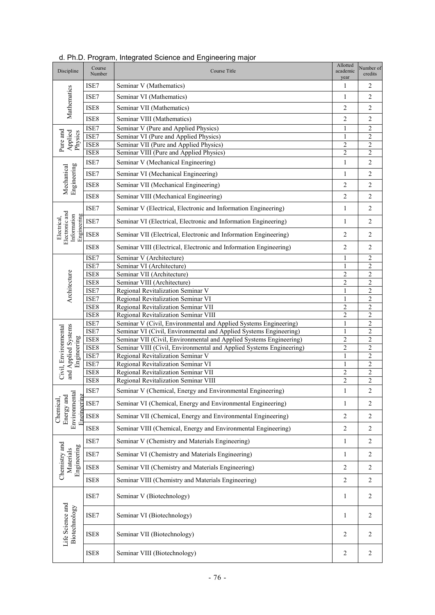| Discipline                                                  | Course<br>Number | Course Title                                                        | Allotted<br>academic<br>year | Number of<br>credits    |
|-------------------------------------------------------------|------------------|---------------------------------------------------------------------|------------------------------|-------------------------|
|                                                             | ISE7             | Seminar V (Mathematics)                                             | $\mathbf{1}$                 | $\mathbf{2}$            |
| Mathematics                                                 | ISE7             | Seminar VI (Mathematics)                                            | $\mathbf{1}$                 | $\overline{2}$          |
|                                                             | ISE8             | Seminar VII (Mathematics)                                           | $\mathfrak{2}$               | $\overline{c}$          |
|                                                             | ISE8             | Seminar VIII (Mathematics)                                          | $\overline{c}$               | $\overline{c}$          |
|                                                             | ISE7             | Seminar V (Pure and Applied Physics)                                | $\mathbf{1}$                 | $\overline{2}$          |
| Pure and<br>Applied<br>Physics                              | ISE7             | Seminar VI (Pure and Applied Physics)                               | $\mathbf{1}$                 | $\overline{2}$          |
|                                                             | ISE8             | Seminar VII (Pure and Applied Physics)                              | $\mathfrak{2}$               | $\overline{2}$          |
|                                                             | ISE8             | Seminar VIII (Pure and Applied Physics)                             | $\overline{c}$               | $\overline{2}$          |
|                                                             | ISE7             | Seminar V (Mechanical Engineering)                                  | $\mathbf{1}$                 | $\overline{2}$          |
| Engineering<br>Mechanical                                   | ISE7             | Seminar VI (Mechanical Engineering)                                 | $\mathbf{1}$                 | $\overline{c}$          |
|                                                             | ISE8             | Seminar VII (Mechanical Engineering)                                | 2                            | $\mathbf{2}$            |
|                                                             | ISE8             | Seminar VIII (Mechanical Engineering)                               | $\overline{2}$               | $\overline{2}$          |
|                                                             | ISE7             | Seminar V (Electrical, Electronic and Information Engineering)      | $\mathbf{1}$                 | $\mathbf{2}$            |
|                                                             | ISE7             | Seminar VI (Electrical, Electronic and Information Engineering)     | $\mathbf{1}$                 | $\mathbf{2}$            |
| Electronic and<br>Information<br>Engineering<br>Electrical, | ISE8             | Seminar VII (Electrical, Electronic and Information Engineering)    | 2                            | $\mathbf{2}$            |
|                                                             | ISE8             | Seminar VIII (Electrical, Electronic and Information Engineering)   | 2                            | $\overline{2}$          |
|                                                             | ISE7             | Seminar V (Architecture)                                            | 1                            | $\overline{c}$          |
|                                                             | ISE7             | Seminar VI (Architecture)                                           | $\mathbf{1}$                 | $\overline{c}$          |
| Architecture                                                | ISE8             | Seminar VII (Architecture)                                          | $\overline{c}$               | $\sqrt{2}$              |
|                                                             | ISE8             | Seminar VIII (Architecture)                                         | $\overline{c}$               | $\overline{\mathbf{c}}$ |
|                                                             | ISE7             | Regional Revitalization Seminar V                                   | $\mathbf{1}$                 | $\overline{c}$          |
|                                                             | ISE7             | Regional Revitalization Seminar VI                                  | $\mathbf{1}$                 | $\overline{2}$          |
|                                                             | ISE8             | Regional Revitalization Seminar VII                                 | $\overline{c}$               | $\overline{2}$          |
|                                                             | ISE8             | Regional Revitalization Seminar VIII                                | $\overline{c}$               | $\overline{2}$          |
|                                                             | ISE7             | Seminar V (Civil, Environmental and Applied Systems Engineering)    | $\mathbf{1}$                 | $\overline{2}$          |
| and Applied Systems<br>Civil, Environmental                 | ISE7             | Seminar VI (Civil, Environmental and Applied Systems Engineering)   | $\mathbf{1}$                 | $\overline{c}$          |
|                                                             | ISE8             | Seminar VII (Civil, Environmental and Applied Systems Engineering)  | 2                            | $\overline{2}$          |
|                                                             | ISE8             | Seminar VIII (Civil, Environmental and Applied Systems Engineering) | $\mathfrak{2}$               | $\overline{c}$          |
| Engineering                                                 | ISE7             | Regional Revitalization Seminar V                                   | $\mathbf{1}$                 | 2                       |
|                                                             | ISE7             | Regional Revitalization Seminar VI                                  | $\mathbf{1}$                 | $\sqrt{2}$              |
|                                                             | ISE8             | Regional Revitalization Seminar VII                                 | $\overline{c}$               | $\overline{2}$          |
|                                                             | ISE8             | Regional Revitalization Seminar VIII                                | $\overline{c}$               | $\mathfrak{2}$          |
|                                                             | ISE7             | Seminar V (Chemical, Energy and Environmental Engineering)          | 1                            | 2                       |
|                                                             | ISE7             | Seminar VI (Chemical, Energy and Environmental Engineering)         | $\mathbf{1}$                 | $\overline{c}$          |
| Environmental<br>Engineering<br>Energy and<br>Chemical,     | ISE8             | Seminar VII (Chemical, Energy and Environmental Engineering)        | $\overline{2}$               | $\overline{c}$          |
|                                                             | ISE8             | Seminar VIII (Chemical, Energy and Environmental Engineering)       | $\sqrt{2}$                   | $\sqrt{2}$              |
|                                                             | ISE7             | Seminar V (Chemistry and Materials Engineering)                     | $\mathbf{1}$                 | $\sqrt{2}$              |
| Chemistry and<br>Engineering<br>Materials                   | ISE7             | Seminar VI (Chemistry and Materials Engineering)                    | $\mathbf{1}$                 | $\sqrt{2}$              |
|                                                             | ISE8             | Seminar VII (Chemistry and Materials Engineering)                   | $\mathfrak{2}$               | $\sqrt{2}$              |
|                                                             | ISE8             | Seminar VIII (Chemistry and Materials Engineering)                  | $\mathfrak{2}$               | 2                       |
|                                                             | ISE7             | Seminar V (Biotechnology)                                           | 1                            | 2                       |
|                                                             | ISE7             | Seminar VI (Biotechnology)                                          | $\mathbf{1}$                 | 2                       |
| Life Science and<br>Biotechnology                           | ISE8             | Seminar VII (Biotechnology)                                         | 2                            | 2                       |
|                                                             | ISE8             | Seminar VIII (Biotechnology)                                        | $\sqrt{2}$                   | $\sqrt{2}$              |

| d. Ph.D. Program, Integrated Science and Engineering major |  |  |
|------------------------------------------------------------|--|--|
|                                                            |  |  |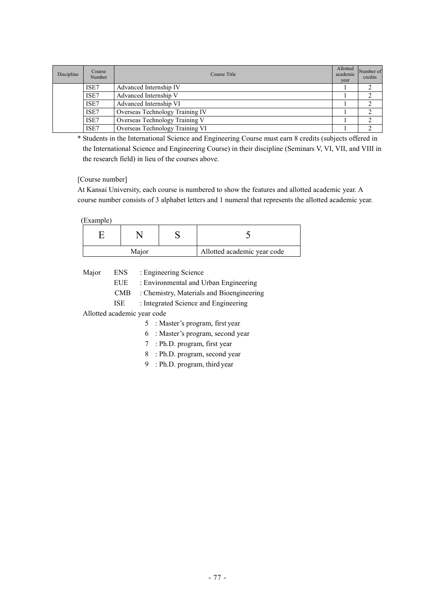| Discipline | Course<br>Number | Course Title                    | Allotted<br>academic<br>year | Number of<br>credits |
|------------|------------------|---------------------------------|------------------------------|----------------------|
|            | ISE7             | Advanced Internship IV          |                              |                      |
|            | ISE7             | Advanced Internship V           |                              |                      |
|            | ISE7             | Advanced Internship VI          |                              |                      |
|            | ISE7             | Overseas Technology Training IV |                              |                      |
|            | ISE7             | Overseas Technology Training V  |                              |                      |
|            | ISE7             | Overseas Technology Training VI |                              |                      |

\* Students in the International Science and Engineering Course must earn 8 credits (subjects offered in the International Science and Engineering Course) in their discipline (Seminars V, VI, VII, and VIII in the research field) in lieu of the courses above.

[Course number]

At Kansai University, each course is numbered to show the features and allotted academic year. A course number consists of 3 alphabet letters and 1 numeral that represents the allotted academic year.

(Example)

| Major |  |  | Allotted academic year code |  |
|-------|--|--|-----------------------------|--|

Major ENS : Engineering Science

EUE : Environmental and Urban Engineering

CMB : Chemistry, Materials and Bioengineering

ISE : Integrated Science and Engineering

Allotted academic year code

- 5 : Master's program, first year
- 6 : Master's program, second year
- 7 : Ph.D. program, first year
- 8 : Ph.D. program, second year
- 9 : Ph.D. program, third year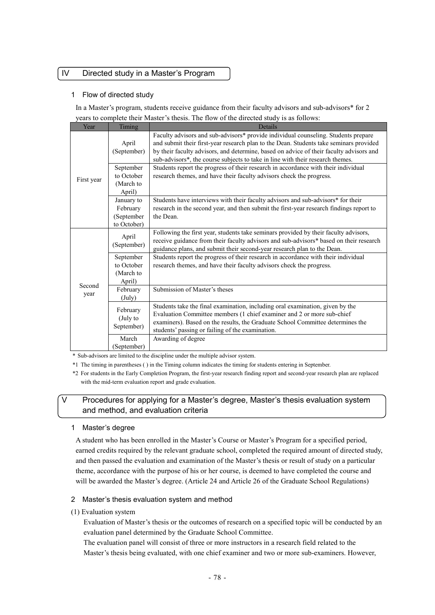#### IV Directed study in a Master's Program

#### 1 Flow of directed study

In a Master's program, students receive guidance from their faculty advisors and sub-advisors\* for 2 years to complete their Master's thesis. The flow of the directed study is as follows:

| Year           | Timing                                                                                                                                                                                                       | Details                                                                                                                                                                                                                                                                                                                                                   |
|----------------|--------------------------------------------------------------------------------------------------------------------------------------------------------------------------------------------------------------|-----------------------------------------------------------------------------------------------------------------------------------------------------------------------------------------------------------------------------------------------------------------------------------------------------------------------------------------------------------|
|                | April<br>(September)                                                                                                                                                                                         | Faculty advisors and sub-advisors* provide individual counseling. Students prepare<br>and submit their first-year research plan to the Dean. Students take seminars provided<br>by their faculty advisors, and determine, based on advice of their faculty advisors and<br>sub-advisors*, the course subjects to take in line with their research themes. |
| First year     | Students report the progress of their research in accordance with their individual<br>September<br>to October<br>research themes, and have their faculty advisors check the progress.<br>(March to<br>April) |                                                                                                                                                                                                                                                                                                                                                           |
|                | January to<br>February<br>(September<br>to October)                                                                                                                                                          | Students have interviews with their faculty advisors and sub-advisors* for their<br>research in the second year, and then submit the first-year research findings report to<br>the Dean.                                                                                                                                                                  |
| Second<br>year | April<br>(September)                                                                                                                                                                                         | Following the first year, students take seminars provided by their faculty advisors,<br>receive guidance from their faculty advisors and sub-advisors* based on their research<br>guidance plans, and submit their second-year research plan to the Dean.                                                                                                 |
|                | September<br>to October<br>(March to<br>April)                                                                                                                                                               | Students report the progress of their research in accordance with their individual<br>research themes, and have their faculty advisors check the progress.                                                                                                                                                                                                |
|                | February<br>(July)                                                                                                                                                                                           | Submission of Master's theses                                                                                                                                                                                                                                                                                                                             |
|                | February<br>(July to<br>September)                                                                                                                                                                           | Students take the final examination, including oral examination, given by the<br>Evaluation Committee members (1 chief examiner and 2 or more sub-chief<br>examiners). Based on the results, the Graduate School Committee determines the<br>students' passing or failing of the examination.                                                             |
|                | March<br>(September)                                                                                                                                                                                         | Awarding of degree                                                                                                                                                                                                                                                                                                                                        |

\* Sub-advisors are limited to the discipline under the multiple advisor system.

\*1 The timing in parentheses ( ) in the Timing column indicates the timing for students entering in September.

\*2 For students in the Early Completion Program, the first-year research finding report and second-year research plan are replaced with the mid-term evaluation report and grade evaluation.

#### Procedures for applying for a Master's degree, Master's thesis evaluation system and method, and evaluation criteria

#### 1 Master's degree

A student who has been enrolled in the Master's Course or Master's Program for a specified period, earned credits required by the relevant graduate school, completed the required amount of directed study, and then passed the evaluation and examination of the Master's thesis or result of study on a particular theme, accordance with the purpose of his or her course, is deemed to have completed the course and will be awarded the Master's degree. (Article 24 and Article 26 of the Graduate School Regulations)

#### 2 Master's thesis evaluation system and method

(1) Evaluation system

Evaluation of Master's thesis or the outcomes of research on a specified topic will be conducted by an evaluation panel determined by the Graduate School Committee.

The evaluation panel will consist of three or more instructors in a research field related to the Master's thesis being evaluated, with one chief examiner and two or more sub-examiners. However,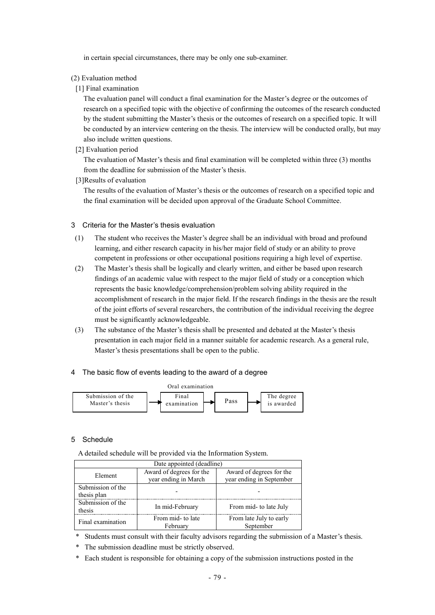in certain special circumstances, there may be only one sub-examiner.

#### (2) Evaluation method

#### [1] Final examination

The evaluation panel will conduct a final examination for the Master's degree or the outcomes of research on a specified topic with the objective of confirming the outcomes of the research conducted by the student submitting the Master's thesis or the outcomes of research on a specified topic. It will be conducted by an interview centering on the thesis. The interview will be conducted orally, but may also include written questions.

[2] Evaluation period

The evaluation of Master's thesis and final examination will be completed within three (3) months from the deadline for submission of the Master's thesis.

[3]Results of evaluation

The results of the evaluation of Master's thesis or the outcomes of research on a specified topic and the final examination will be decided upon approval of the Graduate School Committee.

#### 3 Criteria for the Master's thesis evaluation

- (1) The student who receives the Master's degree shall be an individual with broad and profound learning, and either research capacity in his/her major field of study or an ability to prove competent in professions or other occupational positions requiring a high level of expertise.
- (2) The Master's thesis shall be logically and clearly written, and either be based upon research findings of an academic value with respect to the major field of study or a conception which represents the basic knowledge/comprehension/problem solving ability required in the accomplishment of research in the major field. If the research findings in the thesis are the result of the joint efforts of several researchers, the contribution of the individual receiving the degree must be significantly acknowledgeable.
- (3) The substance of the Master's thesis shall be presented and debated at the Master's thesis presentation in each major field in a manner suitable for academic research. As a general rule, Master's thesis presentations shall be open to the public.

#### 4 The basic flow of events leading to the award of a degree



#### 5 Schedule

A detailed schedule will be provided via the Information System.

| Date appointed (deadline)        |                                                  |                                                      |  |  |
|----------------------------------|--------------------------------------------------|------------------------------------------------------|--|--|
| Element                          | Award of degrees for the<br>year ending in March | Award of degrees for the<br>year ending in September |  |  |
| Submission of the<br>thesis plan |                                                  |                                                      |  |  |
| Submission of the<br>thesis      | In mid-February                                  | From mid- to late July                               |  |  |
| Final examination                | From mid- to late<br>February                    | From late July to early<br>September                 |  |  |

- \* Students must consult with their faculty advisors regarding the submission of a Master's thesis.
- \* The submission deadline must be strictly observed.
- \* Each student is responsible for obtaining a copy of the submission instructions posted in the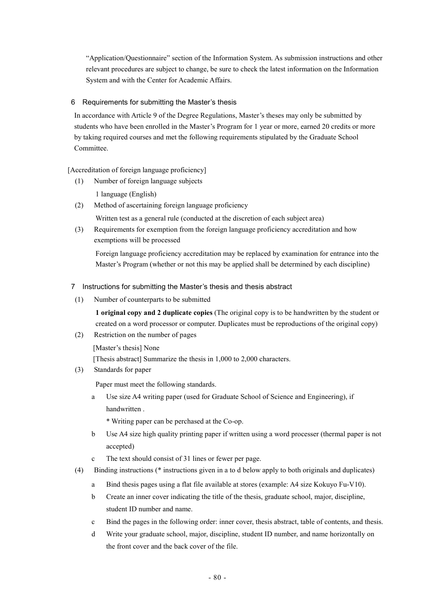"Application/Questionnaire" section of the Information System. As submission instructions and other relevant procedures are subject to change, be sure to check the latest information on the Information System and with the Center for Academic Affairs.

#### 6 Requirements for submitting the Master's thesis

In accordance with Article 9 of the Degree Regulations, Master's theses may only be submitted by students who have been enrolled in the Master's Program for 1 year or more, earned 20 credits or more by taking required courses and met the following requirements stipulated by the Graduate School Committee.

[Accreditation of foreign language proficiency]

(1) Number of foreign language subjects

1 language (English)

(2) Method of ascertaining foreign language proficiency

Written test as a general rule (conducted at the discretion of each subject area)

(3) Requirements for exemption from the foreign language proficiency accreditation and how exemptions will be processed

Foreign language proficiency accreditation may be replaced by examination for entrance into the Master's Program (whether or not this may be applied shall be determined by each discipline)

#### 7 Instructions for submitting the Master's thesis and thesis abstract

(1) Number of counterparts to be submitted

**1 original copy and 2 duplicate copies** (The original copy is to be handwritten by the student or created on a word processor or computer. Duplicates must be reproductions of the original copy)

(2) Restriction on the number of pages

[Master's thesis] None [Thesis abstract] Summarize the thesis in 1,000 to 2,000 characters.

(3) Standards for paper

Paper must meet the following standards.

a Use size A4 writing paper (used for Graduate School of Science and Engineering), if handwritten .

\* Writing paper can be perchased at the Co-op.

- b Use A4 size high quality printing paper if written using a word processer (thermal paper is not accepted)
- c The text should consist of 31 lines or fewer per page.
- (4) Binding instructions (\* instructions given in a to d below apply to both originals and duplicates)
	- a Bind thesis pages using a flat file available at stores (example: A4 size Kokuyo Fu-V10).
	- b Create an inner cover indicating the title of the thesis, graduate school, major, discipline, student ID number and name.
	- c Bind the pages in the following order: inner cover, thesis abstract, table of contents, and thesis.
	- d Write your graduate school, major, discipline, student ID number, and name horizontally on the front cover and the back cover of the file.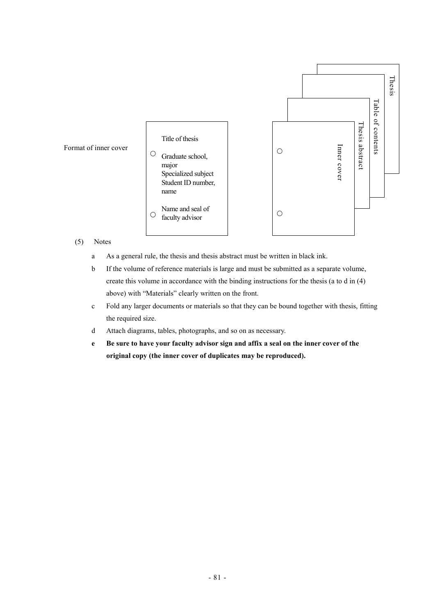

#### (5) Notes

- a As a general rule, the thesis and thesis abstract must be written in black ink.
- b If the volume of reference materials is large and must be submitted as a separate volume, create this volume in accordance with the binding instructions for the thesis (a to d in (4) above) with "Materials" clearly written on the front.
- c Fold any larger documents or materials so that they can be bound together with thesis, fitting the required size.
- d Attach diagrams, tables, photographs, and so on as necessary.
- **e Be sure to have your faculty advisor sign and affix a seal on the inner cover of the original copy (the inner cover of duplicates may be reproduced).**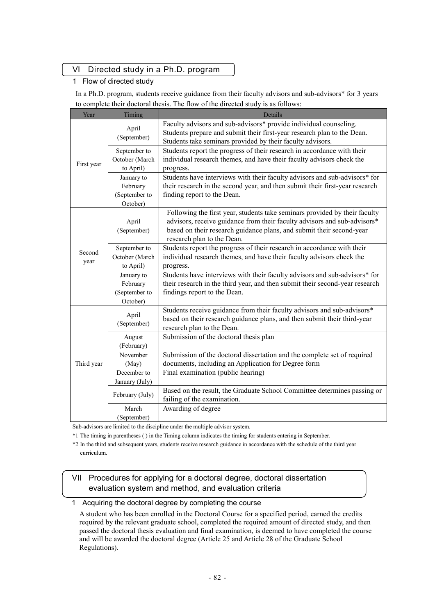## VI Directed study in a Ph.D. program

### 1 Flow of directed study

In a Ph.D. program, students receive guidance from their faculty advisors and sub-advisors\* for 3 years to complete their doctoral thesis. The flow of the directed study is as follows:

| Year           | Timing                                              | Details                                                                                                                                                                                                                                                      |
|----------------|-----------------------------------------------------|--------------------------------------------------------------------------------------------------------------------------------------------------------------------------------------------------------------------------------------------------------------|
|                | April<br>(September)                                | Faculty advisors and sub-advisors* provide individual counseling.<br>Students prepare and submit their first-year research plan to the Dean.<br>Students take seminars provided by their faculty advisors.                                                   |
| First year     | September to<br>October (March<br>to April)         | Students report the progress of their research in accordance with their<br>individual research themes, and have their faculty advisors check the<br>progress.                                                                                                |
|                | January to<br>February<br>(September to<br>October) | Students have interviews with their faculty advisors and sub-advisors* for<br>their research in the second year, and then submit their first-year research<br>finding report to the Dean.                                                                    |
|                | April<br>(September)                                | Following the first year, students take seminars provided by their faculty<br>advisors, receive guidance from their faculty advisors and sub-advisors*<br>based on their research guidance plans, and submit their second-year<br>research plan to the Dean. |
| Second<br>year | September to<br>October (March<br>to April)         | Students report the progress of their research in accordance with their<br>individual research themes, and have their faculty advisors check the<br>progress.                                                                                                |
|                | January to<br>February<br>(September to<br>October) | Students have interviews with their faculty advisors and sub-advisors* for<br>their research in the third year, and then submit their second-year research<br>findings report to the Dean.                                                                   |
|                | April<br>(September)                                | Students receive guidance from their faculty advisors and sub-advisors*<br>based on their research guidance plans, and then submit their third-year<br>research plan to the Dean.                                                                            |
| Third year     | August<br>(February)                                | Submission of the doctoral thesis plan                                                                                                                                                                                                                       |
|                | November<br>(May)                                   | Submission of the doctoral dissertation and the complete set of required<br>documents, including an Application for Degree form                                                                                                                              |
|                | December to<br>January (July)                       | Final examination (public hearing)                                                                                                                                                                                                                           |
|                | February (July)                                     | Based on the result, the Graduate School Committee determines passing or<br>failing of the examination.                                                                                                                                                      |
|                | March<br>(September)                                | Awarding of degree                                                                                                                                                                                                                                           |

Sub-advisors are limited to the discipline under the multiple advisor system.

\*1 The timing in parentheses ( ) in the Timing column indicates the timing for students entering in September.

\*2 In the third and subsequent years, students receive research guidance in accordance with the schedule of the third year curriculum.

## VII Procedures for applying for a doctoral degree, doctoral dissertation evaluation system and method, and evaluation criteria

1 Acquiring the doctoral degree by completing the course

A student who has been enrolled in the Doctoral Course for a specified period, earned the credits required by the relevant graduate school, completed the required amount of directed study, and then passed the doctoral thesis evaluation and final examination, is deemed to have completed the course and will be awarded the doctoral degree (Article 25 and Article 28 of the Graduate School Regulations).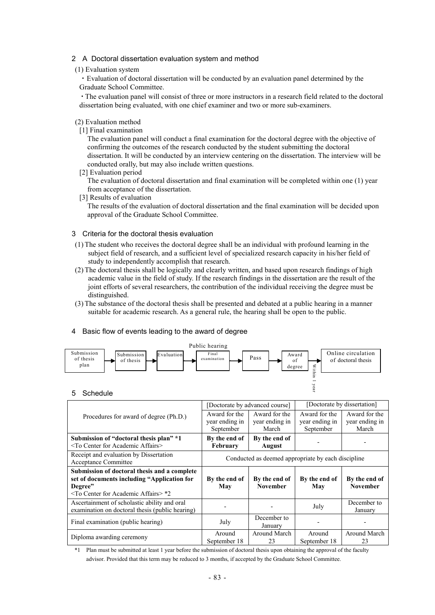#### 2 A Doctoral dissertation evaluation system and method

(1) Evaluation system

・Evaluation of doctoral dissertation will be conducted by an evaluation panel determined by the Graduate School Committee.

・The evaluation panel will consist of three or more instructors in a research field related to the doctoral dissertation being evaluated, with one chief examiner and two or more sub-examiners.

#### (2) Evaluation method

[1] Final examination

The evaluation panel will conduct a final examination for the doctoral degree with the objective of confirming the outcomes of the research conducted by the student submitting the doctoral dissertation. It will be conducted by an interview centering on the dissertation. The interview will be conducted orally, but may also include written questions.

[2] Evaluation period

The evaluation of doctoral dissertation and final examination will be completed within one (1) year from acceptance of the dissertation.

[3] Results of evaluation

The results of the evaluation of doctoral dissertation and the final examination will be decided upon approval of the Graduate School Committee.

#### 3 Criteria for the doctoral thesis evaluation

- (1) The student who receives the doctoral degree shall be an individual with profound learning in the subject field of research, and a sufficient level of specialized research capacity in his/her field of study to independently accomplish that research.
- (2) The doctoral thesis shall be logically and clearly written, and based upon research findings of high academic value in the field of study. If the research findings in the dissertation are the result of the joint efforts of several researchers, the contribution of the individual receiving the degree must be distinguished.
- (3) The substance of the doctoral thesis shall be presented and debated at a public hearing in a manner suitable for academic research. As a general rule, the hearing shall be open to the public.

#### 4 Basic flow of events leading to the award of degree



#### 5 Schedule

|                                                   |                                                    | [Doctorate by advanced course] | [Doctorate by dissertation] |                 |
|---------------------------------------------------|----------------------------------------------------|--------------------------------|-----------------------------|-----------------|
| Procedures for award of degree (Ph.D.)            | Award for the                                      | Award for the                  | Award for the               | Award for the   |
|                                                   | year ending in                                     | year ending in                 | year ending in              | year ending in  |
|                                                   | September                                          | March                          | September                   | March           |
| Submission of "doctoral thesis plan" *1           | By the end of                                      | By the end of                  |                             |                 |
| <to academic="" affairs="" center="" for=""></to> | February                                           | <b>August</b>                  |                             |                 |
| Receipt and evaluation by Dissertation            |                                                    |                                |                             |                 |
| <b>Acceptance Committee</b>                       | Conducted as deemed appropriate by each discipline |                                |                             |                 |
| Submission of doctoral thesis and a complete      |                                                    |                                |                             |                 |
| set of documents including "Application for       | By the end of                                      | By the end of                  | By the end of               | By the end of   |
| Degree"                                           | May                                                | <b>November</b>                | May                         | <b>November</b> |
| $\leq$ To Center for Academic Affairs $>$ *2      |                                                    |                                |                             |                 |
| Ascertainment of scholastic ability and oral      |                                                    |                                |                             | December to     |
| examination on doctoral thesis (public hearing)   |                                                    |                                | July                        | January         |
| Final examination (public hearing)                |                                                    | December to                    |                             |                 |
|                                                   | July                                               | January                        |                             |                 |
| Diploma awarding ceremony                         | Around                                             | Around March                   | Around                      | Around March    |
|                                                   | September 18                                       | 23                             | September 18                | 23              |

\*1 Plan must be submitted at least 1 year before the submission of doctoral thesis upon obtaining the approval of the faculty advisor. Provided that this term may be reduced to 3 months, if accepted by the Graduate School Committee.